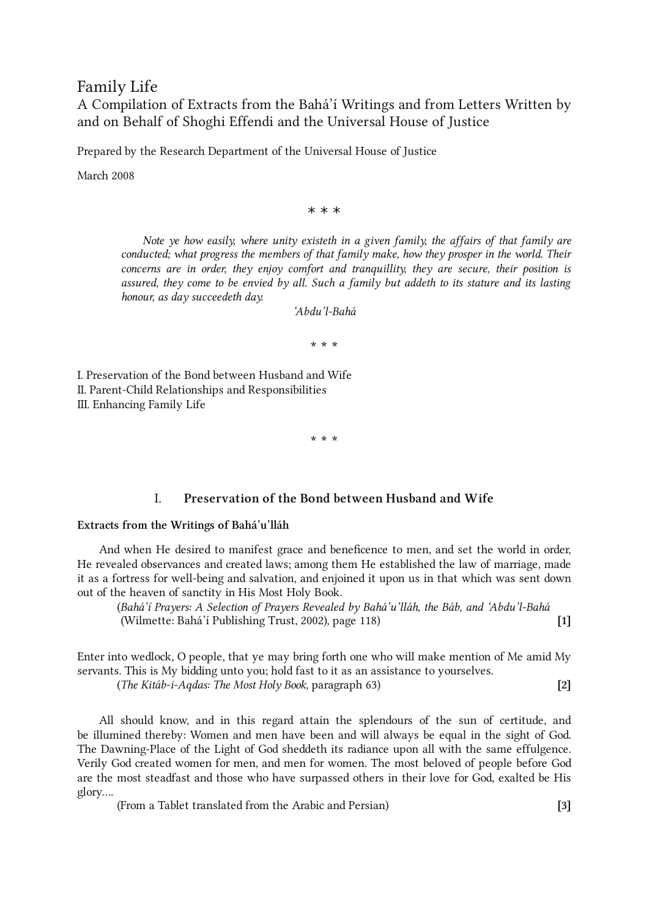# Family Life A Compilation of Extracts from the Bahá'í Writings and from Letters Written by and on Behalf of Shoghi Effendi and the Universal House of Justice

Prepared by the Research Department of the Universal House of Justice

March 2008

\* \* \*

Note ye how easily, where unity existeth in a given family, the affairs of that family are conducted; what progress the members of that family make, how they prosper in the world. Their concerns are in order, they enjoy comfort and tranquillity, they are secure, their position is assured, they come to be envied by all. Such a family but addeth to its stature and its lasting honour, as day succeedeth day.

'Abdu'l-Bahá

\* \* \*

I. [Preservation](#page-0-0) of the Bond between Husband and Wife II. Parent-Child Relationships and [Responsibilities](#page-11-0) III. [Enhancing](#page-23-0) Family Life

\* \* \*

# <span id="page-0-0"></span>I. Preservation of the Bond between Husband and Wife

Extracts from the Writings of Bahá'u'lláh

And when He desired to manifest grace and beneficence to men, and set the world in order, He revealed observances and created laws; among them He established the law of marriage, made it as a fortress for well-being and salvation, and enjoined it upon us in that which was sent down out of the heaven of sanctity in His Most Holy Book.

(Bahá'í Prayers: A Selection of Prayers Revealed by Bahá'u'lláh, the Báb, and 'Abdu'l-Bahá (Wilmette: Bahá'í Publishing Trust, 2002), page 118) [1]

Enter into wedlock, O people, that ye may bring forth one who will make mention of Me amid My servants. This is My bidding unto you; hold fast to it as an assistance to yourselves. (The Kitáb-i-Aqdas: The Most Holy Book, paragraph 63) [2]

All should know, and in this regard attain the splendours of the sun of certitude, and be illumined thereby: Women and men have been and will always be equal in the sight of God. The Dawning-Place of the Light of God sheddeth its radiance upon all with the same effulgence. Verily God created women for men, and men for women. The most beloved of people before God are the most steadfast and those who have surpassed others in their love for God, exalted be His glory….

(From a Tablet translated from the Arabic and Persian) [3]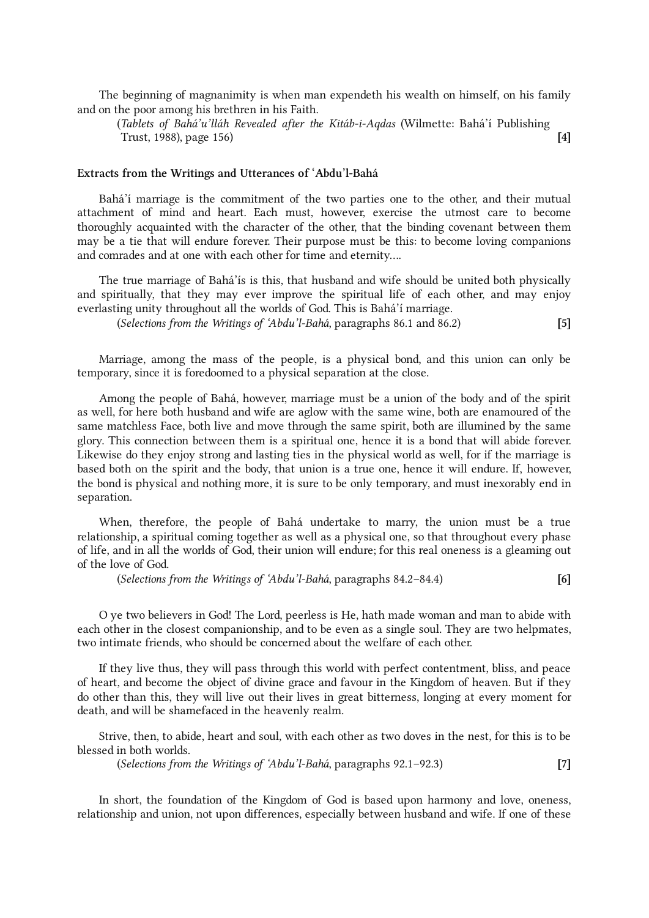The beginning of magnanimity is when man expendeth his wealth on himself, on his family and on the poor among his brethren in his Faith.

(Tablets of Bahá'u'lláh Revealed after the Kitáb-i-Aqdas (Wilmette: Bahá'í Publishing Trust, 1988), page 156) [4]

### Extracts from the Writings and Utterances of 'Abdu'l-Bahá

Bahá'í marriage is the commitment of the two parties one to the other, and their mutual attachment of mind and heart. Each must, however, exercise the utmost care to become thoroughly acquainted with the character of the other, that the binding covenant between them may be a tie that will endure forever. Their purpose must be this: to become loving companions and comrades and at one with each other for time and eternity….

The true marriage of Bahá'ís is this, that husband and wife should be united both physically and spiritually, that they may ever improve the spiritual life of each other, and may enjoy everlasting unity throughout all the worlds of God. This is Bahá'í marriage.

(Selections from the Writings of 'Abdu'l-Bahá, paragraphs 86.1 and 86.2) [5]

Marriage, among the mass of the people, is a physical bond, and this union can only be temporary, since it is foredoomed to a physical separation at the close.

Among the people of Bahá, however, marriage must be a union of the body and of the spirit as well, for here both husband and wife are aglow with the same wine, both are enamoured of the same matchless Face, both live and move through the same spirit, both are illumined by the same glory. This connection between them is a spiritual one, hence it is a bond that will abide forever. Likewise do they enjoy strong and lasting ties in the physical world as well, for if the marriage is based both on the spirit and the body, that union is a true one, hence it will endure. If, however, the bond is physical and nothing more, it is sure to be only temporary, and must inexorably end in separation.

When, therefore, the people of Bahá undertake to marry, the union must be a true relationship, a spiritual coming together as well as a physical one, so that throughout every phase of life, and in all the worlds of God, their union will endure; for this real oneness is a gleaming out of the love of God.

(Selections from the Writings of 'Abdu'l-Bahá, paragraphs 84.2–84.4) [6]

O ye two believers in God! The Lord, peerless is He, hath made woman and man to abide with each other in the closest companionship, and to be even as a single soul. They are two helpmates, two intimate friends, who should be concerned about the welfare of each other.

If they live thus, they will pass through this world with perfect contentment, bliss, and peace of heart, and become the object of divine grace and favour in the Kingdom of heaven. But if they do other than this, they will live out their lives in great bitterness, longing at every moment for death, and will be shamefaced in the heavenly realm.

Strive, then, to abide, heart and soul, with each other as two doves in the nest, for this is to be blessed in both worlds.

(Selections from the Writings of 'Abdu'l-Bahá, paragraphs 92.1–92.3) [7]

In short, the foundation of the Kingdom of God is based upon harmony and love, oneness, relationship and union, not upon differences, especially between husband and wife. If one of these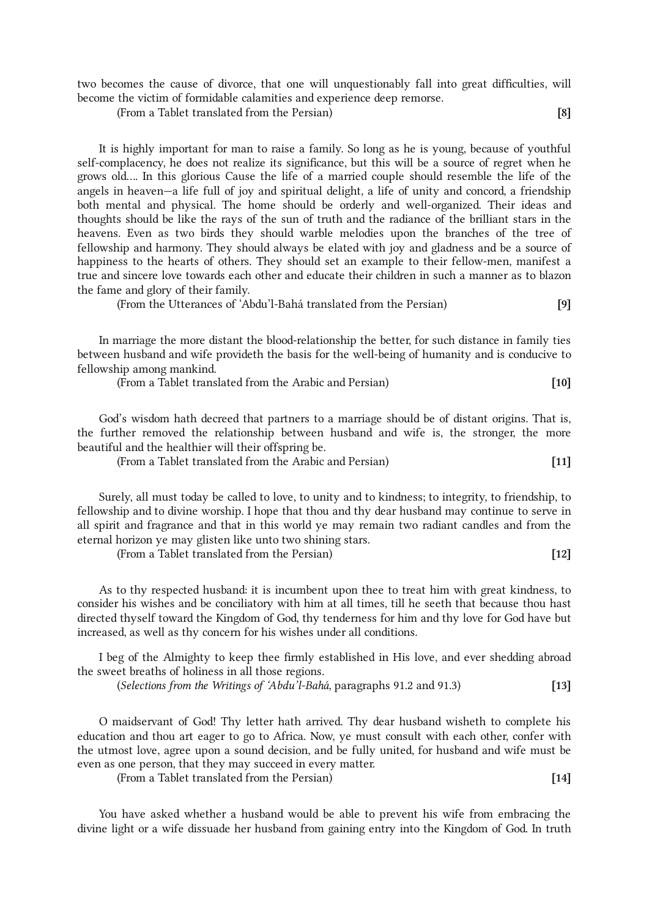two becomes the cause of divorce, that one will unquestionably fall into great difficulties, will become the victim of formidable calamities and experience deep remorse.

(From a Tablet translated from the Persian) [8]

It is highly important for man to raise a family. So long as he is young, because of youthful self-complacency, he does not realize its significance, but this will be a source of regret when he grows old…. In this glorious Cause the life of a married couple should resemble the life of the angels in heaven—a life full of joy and spiritual delight, a life of unity and concord, a friendship both mental and physical. The home should be orderly and well-organized. Their ideas and thoughts should be like the rays of the sun of truth and the radiance of the brilliant stars in the heavens. Even as two birds they should warble melodies upon the branches of the tree of fellowship and harmony. They should always be elated with joy and gladness and be a source of happiness to the hearts of others. They should set an example to their fellow-men, manifest a true and sincere love towards each other and educate their children in such a manner as to blazon the fame and glory of their family.

(From the Utterances of 'Abdu'l-Bahá translated from the Persian) [9]

In marriage the more distant the blood-relationship the better, for such distance in family ties between husband and wife provideth the basis for the well-being of humanity and is conducive to fellowship among mankind.

(From a Tablet translated from the Arabic and Persian) [10]

God's wisdom hath decreed that partners to a marriage should be of distant origins. That is, the further removed the relationship between husband and wife is, the stronger, the more beautiful and the healthier will their offspring be.

(From a Tablet translated from the Arabic and Persian) [11]

Surely, all must today be called to love, to unity and to kindness; to integrity, to friendship, to fellowship and to divine worship. I hope that thou and thy dear husband may continue to serve in all spirit and fragrance and that in this world ye may remain two radiant candles and from the eternal horizon ye may glisten like unto two shining stars.

(From a Tablet translated from the Persian) [12]

As to thy respected husband: it is incumbent upon thee to treat him with great kindness, to consider his wishes and be conciliatory with him at all times, till he seeth that because thou hast directed thyself toward the Kingdom of God, thy tenderness for him and thy love for God have but increased, as well as thy concern for his wishes under all conditions.

I beg of the Almighty to keep thee firmly established in His love, and ever shedding abroad the sweet breaths of holiness in all those regions.

(Selections from the Writings of 'Abdu'l-Bahá, paragraphs 91.2 and 91.3) [13]

O maidservant of God! Thy letter hath arrived. Thy dear husband wisheth to complete his education and thou art eager to go to Africa. Now, ye must consult with each other, confer with the utmost love, agree upon a sound decision, and be fully united, for husband and wife must be even as one person, that they may succeed in every matter.

(From a Tablet translated from the Persian) [14]

You have asked whether a husband would be able to prevent his wife from embracing the divine light or a wife dissuade her husband from gaining entry into the Kingdom of God. In truth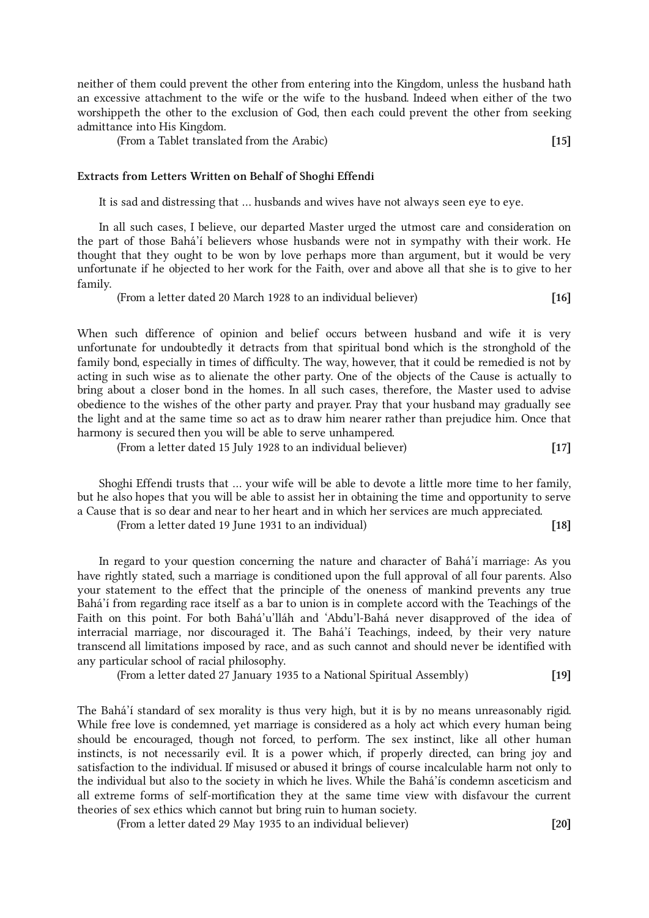neither of them could prevent the other from entering into the Kingdom, unless the husband hath an excessive attachment to the wife or the wife to the husband. Indeed when either of the two worshippeth the other to the exclusion of God, then each could prevent the other from seeking admittance into His Kingdom.

(From a Tablet translated from the Arabic) [15]

### Extracts from Letters Written on Behalf of Shoghi Effendi

It is sad and distressing that … husbands and wives have not always seen eye to eye.

In all such cases, I believe, our departed Master urged the utmost care and consideration on the part of those Bahá'í believers whose husbands were not in sympathy with their work. He thought that they ought to be won by love perhaps more than argument, but it would be very unfortunate if he objected to her work for the Faith, over and above all that she is to give to her family.

(From a letter dated 20 March 1928 to an individual believer) [16]

When such difference of opinion and belief occurs between husband and wife it is very unfortunate for undoubtedly it detracts from that spiritual bond which is the stronghold of the family bond, especially in times of difficulty. The way, however, that it could be remedied is not by acting in such wise as to alienate the other party. One of the objects of the Cause is actually to bring about a closer bond in the homes. In all such cases, therefore, the Master used to advise obedience to the wishes of the other party and prayer. Pray that your husband may gradually see the light and at the same time so act as to draw him nearer rather than prejudice him. Once that harmony is secured then you will be able to serve unhampered.

(From a letter dated 15 July 1928 to an individual believer) [17]

Shoghi Effendi trusts that … your wife will be able to devote a little more time to her family, but he also hopes that you will be able to assist her in obtaining the time and opportunity to serve a Cause that is so dear and near to her heart and in which her services are much appreciated.

(From a letter dated 19 June 1931 to an individual) [18]

In regard to your question concerning the nature and character of Bahá'í marriage: As you have rightly stated, such a marriage is conditioned upon the full approval of all four parents. Also your statement to the effect that the principle of the oneness of mankind prevents any true Bahá'í from regarding race itself as a bar to union is in complete accord with the Teachings of the Faith on this point. For both Bahá'u'lláh and 'Abdu'l-Bahá never disapproved of the idea of interracial marriage, nor discouraged it. The Bahá'í Teachings, indeed, by their very nature transcend all limitations imposed by race, and as such cannot and should never be identified with any particular school of racial philosophy.

(From a letter dated 27 January 1935 to a National Spiritual Assembly) [19]

The Bahá'í standard of sex morality is thus very high, but it is by no means unreasonably rigid. While free love is condemned, yet marriage is considered as a holy act which every human being should be encouraged, though not forced, to perform. The sex instinct, like all other human instincts, is not necessarily evil. It is a power which, if properly directed, can bring joy and satisfaction to the individual. If misused or abused it brings of course incalculable harm not only to the individual but also to the society in which he lives. While the Bahá'ís condemn asceticism and all extreme forms of self-mortification they at the same time view with disfavour the current theories of sex ethics which cannot but bring ruin to human society.

(From a letter dated 29 May 1935 to an individual believer) [20]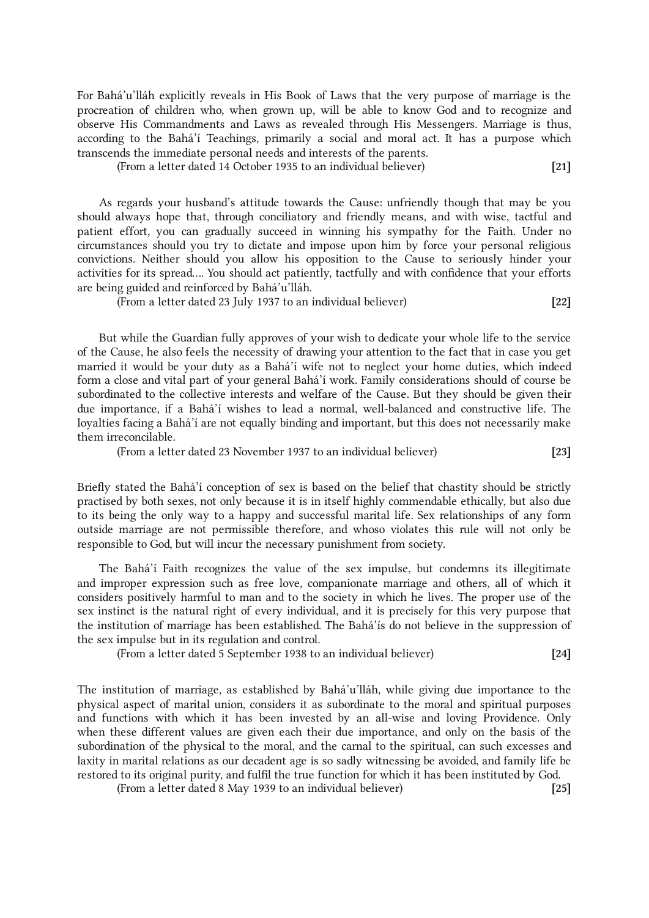For Bahá'u'lláh explicitly reveals in His Book of Laws that the very purpose of marriage is the procreation of children who, when grown up, will be able to know God and to recognize and observe His Commandments and Laws as revealed through His Messengers. Marriage is thus, according to the Bahá'í Teachings, primarily a social and moral act. It has a purpose which transcends the immediate personal needs and interests of the parents.

(From a letter dated 14 October 1935 to an individual believer) [21]

As regards your husband's attitude towards the Cause: unfriendly though that may be you should always hope that, through conciliatory and friendly means, and with wise, tactful and patient effort, you can gradually succeed in winning his sympathy for the Faith. Under no circumstances should you try to dictate and impose upon him by force your personal religious convictions. Neither should you allow his opposition to the Cause to seriously hinder your activities for its spread…. You should act patiently, tactfully and with confidence that your efforts are being guided and reinforced by Bahá'u'lláh.

(From a letter dated 23 July 1937 to an individual believer) [22]

But while the Guardian fully approves of your wish to dedicate your whole life to the service of the Cause, he also feels the necessity of drawing your attention to the fact that in case you get married it would be your duty as a Bahá'í wife not to neglect your home duties, which indeed form a close and vital part of your general Bahá'í work. Family considerations should of course be subordinated to the collective interests and welfare of the Cause. But they should be given their due importance, if a Bahá'í wishes to lead a normal, well-balanced and constructive life. The loyalties facing a Bahá'í are not equally binding and important, but this does not necessarily make them irreconcilable.

(From a letter dated 23 November 1937 to an individual believer) [23]

Briefly stated the Bahá'í conception of sex is based on the belief that chastity should be strictly practised by both sexes, not only because it is in itself highly commendable ethically, but also due to its being the only way to a happy and successful marital life. Sex relationships of any form outside marriage are not permissible therefore, and whoso violates this rule will not only be responsible to God, but will incur the necessary punishment from society.

The Bahá'í Faith recognizes the value of the sex impulse, but condemns its illegitimate and improper expression such as free love, companionate marriage and others, all of which it considers positively harmful to man and to the society in which he lives. The proper use of the sex instinct is the natural right of every individual, and it is precisely for this very purpose that the institution of marriage has been established. The Bahá'ís do not believe in the suppression of the sex impulse but in its regulation and control.

(From a letter dated 5 September 1938 to an individual believer) [24]

The institution of marriage, as established by Bahá'u'lláh, while giving due importance to the physical aspect of marital union, considers it as subordinate to the moral and spiritual purposes and functions with which it has been invested by an all-wise and loving Providence. Only when these different values are given each their due importance, and only on the basis of the subordination of the physical to the moral, and the carnal to the spiritual, can such excesses and laxity in marital relations as our decadent age is so sadly witnessing be avoided, and family life be restored to its original purity, and fulfil the true function for which it has been instituted by God.

(From a letter dated 8 May 1939 to an individual believer) [25]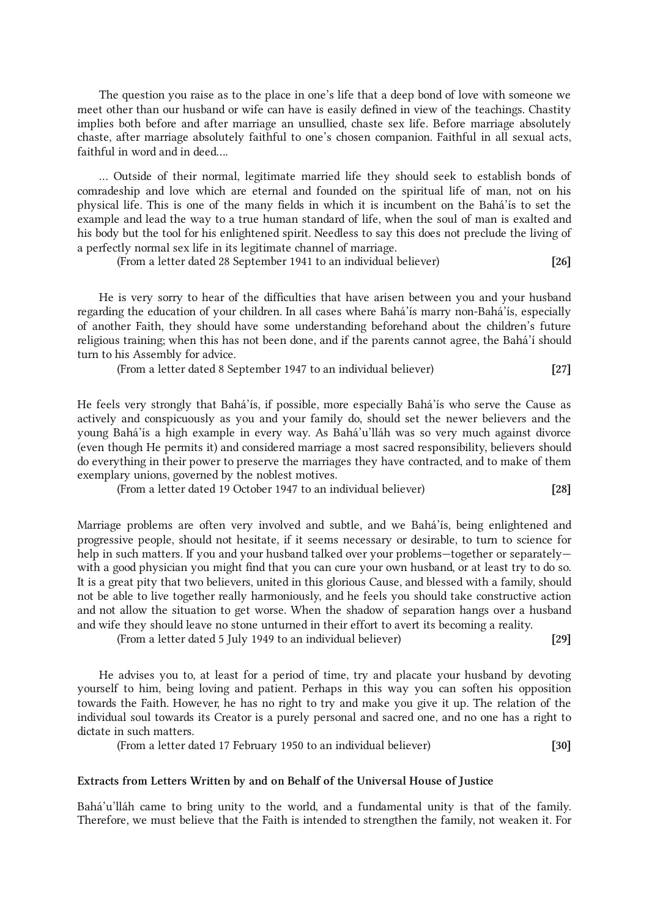The question you raise as to the place in one's life that a deep bond of love with someone we meet other than our husband or wife can have is easily defined in view of the teachings. Chastity implies both before and after marriage an unsullied, chaste sex life. Before marriage absolutely chaste, after marriage absolutely faithful to one's chosen companion. Faithful in all sexual acts, faithful in word and in deed….

… Outside of their normal, legitimate married life they should seek to establish bonds of comradeship and love which are eternal and founded on the spiritual life of man, not on his physical life. This is one of the many fields in which it is incumbent on the Bahá'ís to set the example and lead the way to a true human standard of life, when the soul of man is exalted and his body but the tool for his enlightened spirit. Needless to say this does not preclude the living of a perfectly normal sex life in its legitimate channel of marriage.

(From a letter dated 28 September 1941 to an individual believer) [26]

He is very sorry to hear of the difficulties that have arisen between you and your husband regarding the education of your children. In all cases where Bahá'ís marry non-Bahá'ís, especially of another Faith, they should have some understanding beforehand about the children's future religious training; when this has not been done, and if the parents cannot agree, the Bahá'í should turn to his Assembly for advice.

(From a letter dated 8 September 1947 to an individual believer) [27]

He feels very strongly that Bahá'ís, if possible, more especially Bahá'ís who serve the Cause as actively and conspicuously as you and your family do, should set the newer believers and the young Bahá'ís a high example in every way. As Bahá'u'lláh was so very much against divorce (even though He permits it) and considered marriage a most sacred responsibility, believers should do everything in their power to preserve the marriages they have contracted, and to make of them exemplary unions, governed by the noblest motives.

(From a letter dated 19 October 1947 to an individual believer) [28]

Marriage problems are often very involved and subtle, and we Bahá'ís, being enlightened and progressive people, should not hesitate, if it seems necessary or desirable, to turn to science for help in such matters. If you and your husband talked over your problems—together or separately with a good physician you might find that you can cure your own husband, or at least try to do so. It is a great pity that two believers, united in this glorious Cause, and blessed with a family, should not be able to live together really harmoniously, and he feels you should take constructive action and not allow the situation to get worse. When the shadow of separation hangs over a husband and wife they should leave no stone unturned in their effort to avert its becoming a reality.

(From a letter dated 5 July 1949 to an individual believer) [29]

He advises you to, at least for a period of time, try and placate your husband by devoting yourself to him, being loving and patient. Perhaps in this way you can soften his opposition towards the Faith. However, he has no right to try and make you give it up. The relation of the individual soul towards its Creator is a purely personal and sacred one, and no one has a right to dictate in such matters.

(From a letter dated 17 February 1950 to an individual believer) [30]

## Extracts from Letters Written by and on Behalf of the Universal House of Justice

Bahá'u'lláh came to bring unity to the world, and a fundamental unity is that of the family. Therefore, we must believe that the Faith is intended to strengthen the family, not weaken it. For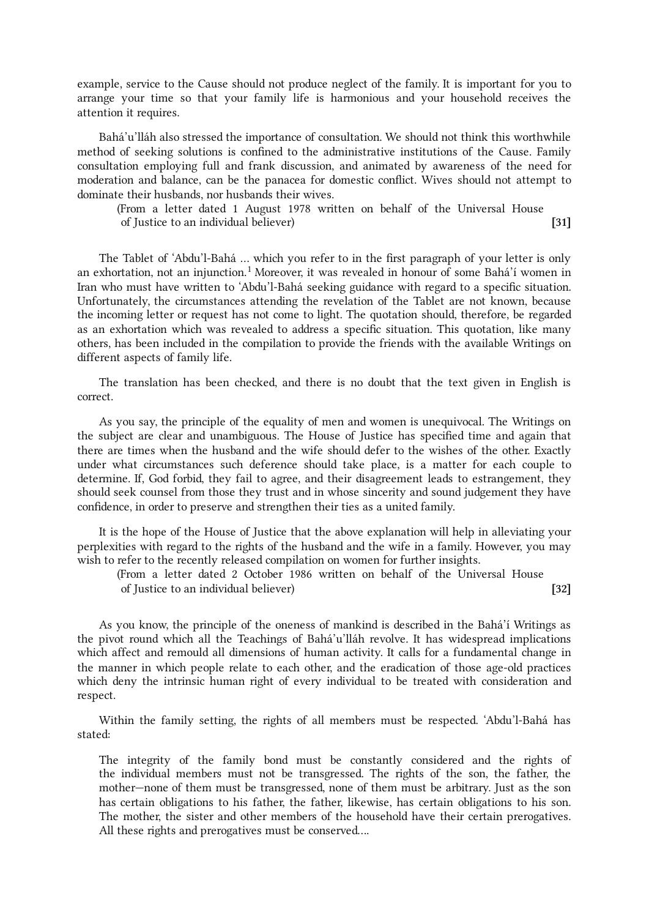example, service to the Cause should not produce neglect of the family. It is important for you to arrange your time so that your family life is harmonious and your household receives the attention it requires.

Bahá'u'lláh also stressed the importance of consultation. We should not think this worthwhile method of seeking solutions is confined to the administrative institutions of the Cause. Family consultation employing full and frank discussion, and animated by awareness of the need for moderation and balance, can be the panacea for domestic conflict. Wives should not attempt to dominate their husbands, nor husbands their wives.

(From a letter dated 1 August 1978 written on behalf of the Universal House of Justice to an individual believer) [31]

<span id="page-6-0"></span>The Tablet of 'Abdu'l-Bahá … which you refer to in the first paragraph of your letter is only an exhortation, not an injunction. [1](#page-33-0) Moreover, it was revealed in honour of some Bahá'í women in Iran who must have written to 'Abdu'l-Bahá seeking guidance with regard to a specific situation. Unfortunately, the circumstances attending the revelation of the Tablet are not known, because the incoming letter or request has not come to light. The quotation should, therefore, be regarded as an exhortation which was revealed to address a specific situation. This quotation, like many others, has been included in the compilation to provide the friends with the available Writings on different aspects of family life.

The translation has been checked, and there is no doubt that the text given in English is correct.

As you say, the principle of the equality of men and women is unequivocal. The Writings on the subject are clear and unambiguous. The House of Justice has specified time and again that there are times when the husband and the wife should defer to the wishes of the other. Exactly under what circumstances such deference should take place, is a matter for each couple to determine. If, God forbid, they fail to agree, and their disagreement leads to estrangement, they should seek counsel from those they trust and in whose sincerity and sound judgement they have confidence, in order to preserve and strengthen their ties as a united family.

It is the hope of the House of Justice that the above explanation will help in alleviating your perplexities with regard to the rights of the husband and the wife in a family. However, you may wish to refer to the recently released compilation on women for further insights.

(From a letter dated 2 October 1986 written on behalf of the Universal House of Justice to an individual believer) [32]

As you know, the principle of the oneness of mankind is described in the Bahá'í Writings as the pivot round which all the Teachings of Bahá'u'lláh revolve. It has widespread implications which affect and remould all dimensions of human activity. It calls for a fundamental change in the manner in which people relate to each other, and the eradication of those age-old practices which deny the intrinsic human right of every individual to be treated with consideration and respect.

Within the family setting, the rights of all members must be respected. 'Abdu'l-Bahá has stated:

The integrity of the family bond must be constantly considered and the rights of the individual members must not be transgressed. The rights of the son, the father, the mother—none of them must be transgressed, none of them must be arbitrary. Just as the son has certain obligations to his father, the father, likewise, has certain obligations to his son. The mother, the sister and other members of the household have their certain prerogatives. All these rights and prerogatives must be conserved….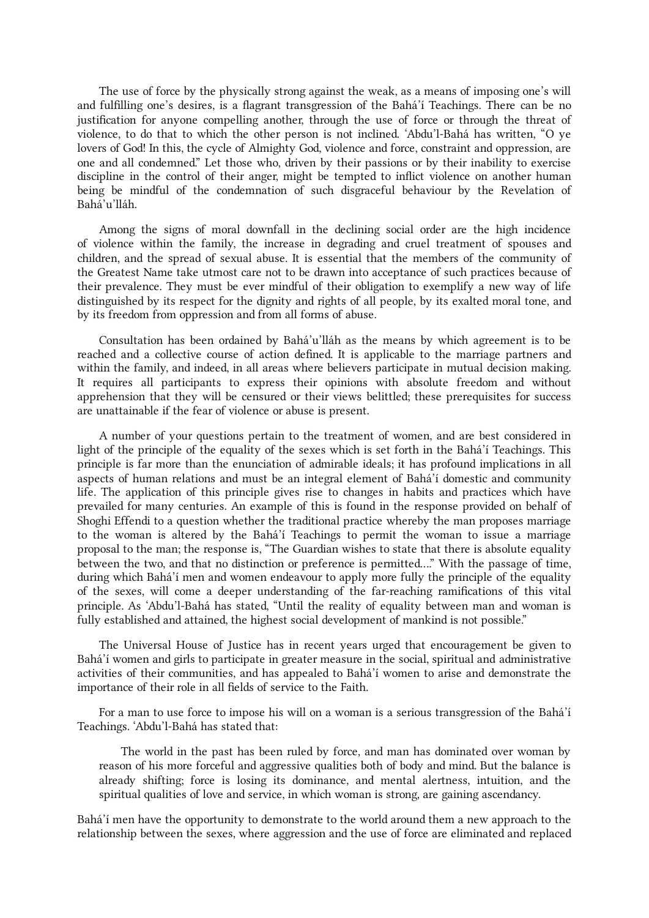The use of force by the physically strong against the weak, as a means of imposing one's will and fulfilling one's desires, is a flagrant transgression of the Bahá'í Teachings. There can be no justification for anyone compelling another, through the use of force or through the threat of violence, to do that to which the other person is not inclined. 'Abdu'l-Bahá has written, "O ye lovers of God! In this, the cycle of Almighty God, violence and force, constraint and oppression, are one and all condemned." Let those who, driven by their passions or by their inability to exercise discipline in the control of their anger, might be tempted to inflict violence on another human being be mindful of the condemnation of such disgraceful behaviour by the Revelation of Bahá'u'lláh.

Among the signs of moral downfall in the declining social order are the high incidence of violence within the family, the increase in degrading and cruel treatment of spouses and children, and the spread of sexual abuse. It is essential that the members of the community of the Greatest Name take utmost care not to be drawn into acceptance of such practices because of their prevalence. They must be ever mindful of their obligation to exemplify a new way of life distinguished by its respect for the dignity and rights of all people, by its exalted moral tone, and by its freedom from oppression and from all forms of abuse.

Consultation has been ordained by Bahá'u'lláh as the means by which agreement is to be reached and a collective course of action defined. It is applicable to the marriage partners and within the family, and indeed, in all areas where believers participate in mutual decision making. It requires all participants to express their opinions with absolute freedom and without apprehension that they will be censured or their views belittled; these prerequisites for success are unattainable if the fear of violence or abuse is present.

A number of your questions pertain to the treatment of women, and are best considered in light of the principle of the equality of the sexes which is set forth in the Bahá'í Teachings. This principle is far more than the enunciation of admirable ideals; it has profound implications in all aspects of human relations and must be an integral element of Bahá'í domestic and community life. The application of this principle gives rise to changes in habits and practices which have prevailed for many centuries. An example of this is found in the response provided on behalf of Shoghi Effendi to a question whether the traditional practice whereby the man proposes marriage to the woman is altered by the Bahá'í Teachings to permit the woman to issue a marriage proposal to the man; the response is, "The Guardian wishes to state that there is absolute equality between the two, and that no distinction or preference is permitted…." With the passage of time, during which Bahá'í men and women endeavour to apply more fully the principle of the equality of the sexes, will come a deeper understanding of the far-reaching ramifications of this vital principle. As 'Abdu'l-Bahá has stated, "Until the reality of equality between man and woman is fully established and attained, the highest social development of mankind is not possible."

The Universal House of Justice has in recent years urged that encouragement be given to Bahá'í women and girls to participate in greater measure in the social, spiritual and administrative activities of their communities, and has appealed to Bahá'í women to arise and demonstrate the importance of their role in all fields of service to the Faith.

For a man to use force to impose his will on a woman is a serious transgression of the Bahá'í Teachings. 'Abdu'l-Bahá has stated that:

The world in the past has been ruled by force, and man has dominated over woman by reason of his more forceful and aggressive qualities both of body and mind. But the balance is already shifting; force is losing its dominance, and mental alertness, intuition, and the spiritual qualities of love and service, in which woman is strong, are gaining ascendancy.

Bahá'í men have the opportunity to demonstrate to the world around them a new approach to the relationship between the sexes, where aggression and the use of force are eliminated and replaced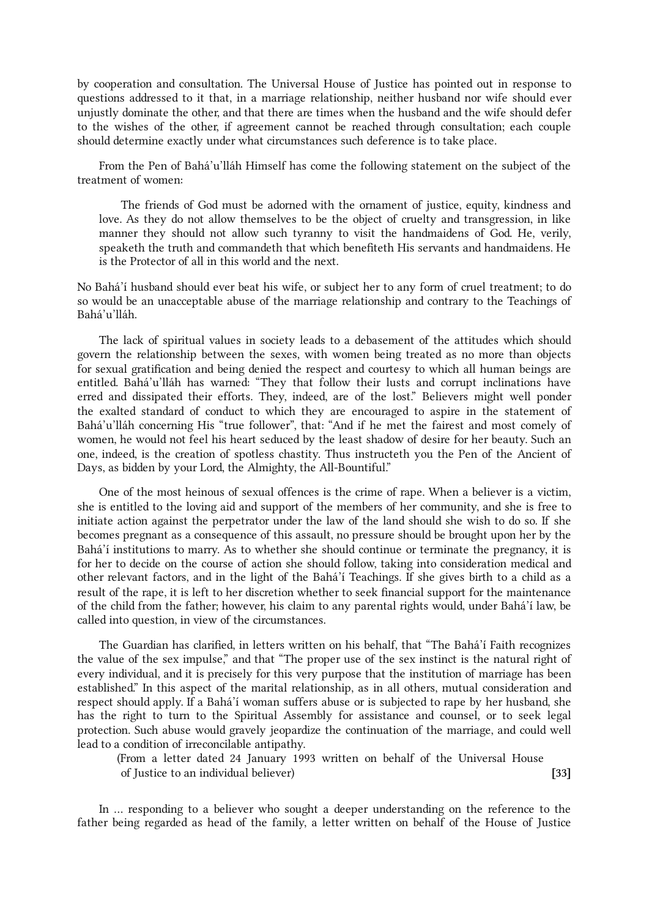by cooperation and consultation. The Universal House of Justice has pointed out in response to questions addressed to it that, in a marriage relationship, neither husband nor wife should ever unjustly dominate the other, and that there are times when the husband and the wife should defer to the wishes of the other, if agreement cannot be reached through consultation; each couple should determine exactly under what circumstances such deference is to take place.

From the Pen of Bahá'u'lláh Himself has come the following statement on the subject of the treatment of women:

The friends of God must be adorned with the ornament of justice, equity, kindness and love. As they do not allow themselves to be the object of cruelty and transgression, in like manner they should not allow such tyranny to visit the handmaidens of God. He, verily, speaketh the truth and commandeth that which benefiteth His servants and handmaidens. He is the Protector of all in this world and the next.

No Bahá'í husband should ever beat his wife, or subject her to any form of cruel treatment; to do so would be an unacceptable abuse of the marriage relationship and contrary to the Teachings of Bahá'u'lláh.

The lack of spiritual values in society leads to a debasement of the attitudes which should govern the relationship between the sexes, with women being treated as no more than objects for sexual gratification and being denied the respect and courtesy to which all human beings are entitled. Bahá'u'lláh has warned: "They that follow their lusts and corrupt inclinations have erred and dissipated their efforts. They, indeed, are of the lost." Believers might well ponder the exalted standard of conduct to which they are encouraged to aspire in the statement of Bahá'u'lláh concerning His "true follower", that: "And if he met the fairest and most comely of women, he would not feel his heart seduced by the least shadow of desire for her beauty. Such an one, indeed, is the creation of spotless chastity. Thus instructeth you the Pen of the Ancient of Days, as bidden by your Lord, the Almighty, the All-Bountiful."

One of the most heinous of sexual offences is the crime of rape. When a believer is a victim, she is entitled to the loving aid and support of the members of her community, and she is free to initiate action against the perpetrator under the law of the land should she wish to do so. If she becomes pregnant as a consequence of this assault, no pressure should be brought upon her by the Bahá'í institutions to marry. As to whether she should continue or terminate the pregnancy, it is for her to decide on the course of action she should follow, taking into consideration medical and other relevant factors, and in the light of the Bahá'í Teachings. If she gives birth to a child as a result of the rape, it is left to her discretion whether to seek financial support for the maintenance of the child from the father; however, his claim to any parental rights would, under Bahá'í law, be called into question, in view of the circumstances.

The Guardian has clarified, in letters written on his behalf, that "The Bahá'í Faith recognizes the value of the sex impulse," and that "The proper use of the sex instinct is the natural right of every individual, and it is precisely for this very purpose that the institution of marriage has been established." In this aspect of the marital relationship, as in all others, mutual consideration and respect should apply. If a Bahá'í woman suffers abuse or is subjected to rape by her husband, she has the right to turn to the Spiritual Assembly for assistance and counsel, or to seek legal protection. Such abuse would gravely jeopardize the continuation of the marriage, and could well lead to a condition of irreconcilable antipathy.

(From a letter dated 24 January 1993 written on behalf of the Universal House of Justice to an individual believer) [33]

In ... responding to a believer who sought a deeper understanding on the reference to the father being regarded as head of the family, a letter written on behalf of the House of Justice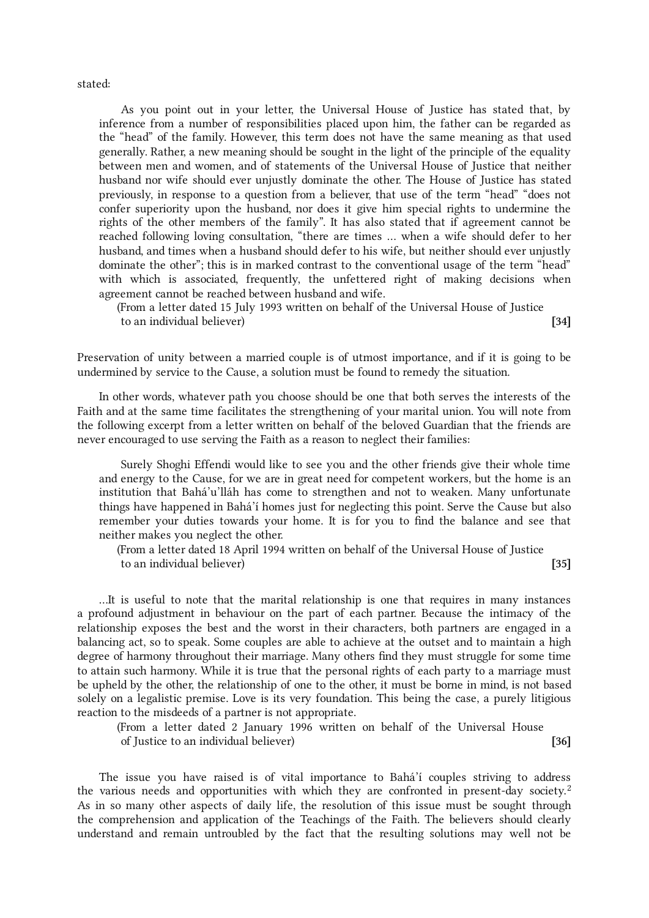stated:

As you point out in your letter, the Universal House of Justice has stated that, by inference from a number of responsibilities placed upon him, the father can be regarded as the "head" of the family. However, this term does not have the same meaning as that used generally. Rather, a new meaning should be sought in the light of the principle of the equality between men and women, and of statements of the Universal House of Justice that neither husband nor wife should ever unjustly dominate the other. The House of Justice has stated previously, in response to a question from a believer, that use of the term "head" "does not confer superiority upon the husband, nor does it give him special rights to undermine the rights of the other members of the family". It has also stated that if agreement cannot be reached following loving consultation, "there are times … when a wife should defer to her husband, and times when a husband should defer to his wife, but neither should ever unjustly dominate the other"; this is in marked contrast to the conventional usage of the term "head" with which is associated, frequently, the unfettered right of making decisions when agreement cannot be reached between husband and wife.

(From a letter dated 15 July 1993 written on behalf of the Universal House of Justice to an individual believer) [34]

Preservation of unity between a married couple is of utmost importance, and if it is going to be undermined by service to the Cause, a solution must be found to remedy the situation.

In other words, whatever path you choose should be one that both serves the interests of the Faith and at the same time facilitates the strengthening of your marital union. You will note from the following excerpt from a letter written on behalf of the beloved Guardian that the friends are never encouraged to use serving the Faith as a reason to neglect their families:

Surely Shoghi Effendi would like to see you and the other friends give their whole time and energy to the Cause, for we are in great need for competent workers, but the home is an institution that Bahá'u'lláh has come to strengthen and not to weaken. Many unfortunate things have happened in Bahá'í homes just for neglecting this point. Serve the Cause but also remember your duties towards your home. It is for you to find the balance and see that neither makes you neglect the other.

(From a letter dated 18 April 1994 written on behalf of the Universal House of Justice to an individual believer) [35]

…It is useful to note that the marital relationship is one that requires in many instances a profound adjustment in behaviour on the part of each partner. Because the intimacy of the relationship exposes the best and the worst in their characters, both partners are engaged in a balancing act, so to speak. Some couples are able to achieve at the outset and to maintain a high degree of harmony throughout their marriage. Many others find they must struggle for some time to attain such harmony. While it is true that the personal rights of each party to a marriage must be upheld by the other, the relationship of one to the other, it must be borne in mind, is not based solely on a legalistic premise. Love is its very foundation. This being the case, a purely litigious reaction to the misdeeds of a partner is not appropriate.

(From a letter dated 2 January 1996 written on behalf of the Universal House of Justice to an individual believer) [36]

<span id="page-9-0"></span>The issue you have raised is of vital importance to Bahá'í couples striving to address the various needs and opportunities with which they are confronted in present-day society.<sup>[2](#page-33-1)</sup> As in so many other aspects of daily life, the resolution of this issue must be sought through the comprehension and application of the Teachings of the Faith. The believers should clearly understand and remain untroubled by the fact that the resulting solutions may well not be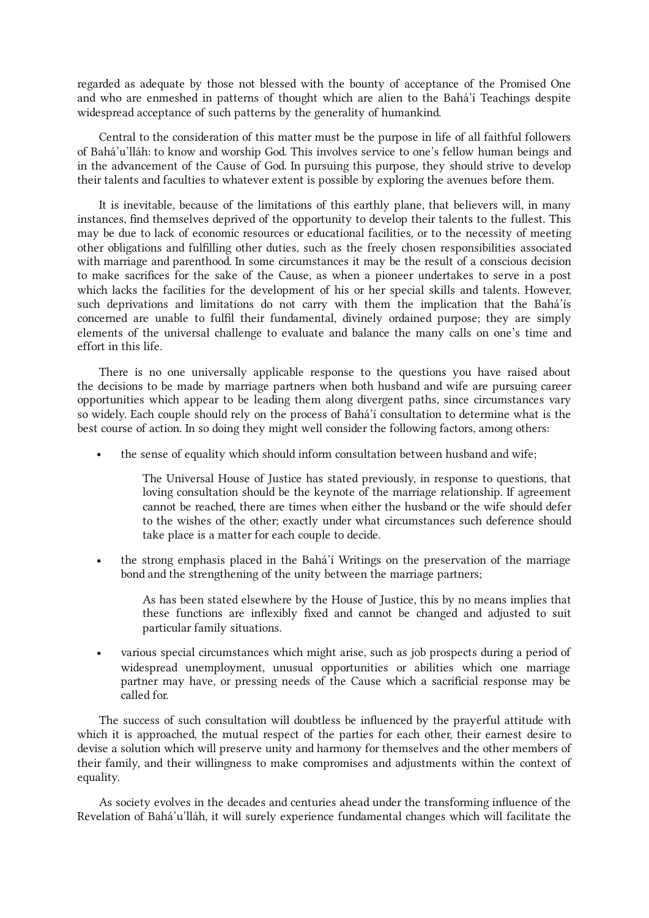regarded as adequate by those not blessed with the bounty of acceptance of the Promised One and who are enmeshed in patterns of thought which are alien to the Bahá'í Teachings despite widespread acceptance of such patterns by the generality of humankind.

Central to the consideration of this matter must be the purpose in life of all faithful followers of Bahá'u'lláh: to know and worship God. This involves service to one's fellow human beings and in the advancement of the Cause of God. In pursuing this purpose, they should strive to develop their talents and faculties to whatever extent is possible by exploring the avenues before them.

It is inevitable, because of the limitations of this earthly plane, that believers will, in many instances, find themselves deprived of the opportunity to develop their talents to the fullest. This may be due to lack of economic resources or educational facilities, or to the necessity of meeting other obligations and fulfilling other duties, such as the freely chosen responsibilities associated with marriage and parenthood. In some circumstances it may be the result of a conscious decision to make sacrifices for the sake of the Cause, as when a pioneer undertakes to serve in a post which lacks the facilities for the development of his or her special skills and talents. However, such deprivations and limitations do not carry with them the implication that the Bahá'ís concerned are unable to fulfil their fundamental, divinely ordained purpose; they are simply elements of the universal challenge to evaluate and balance the many calls on one's time and effort in this life.

There is no one universally applicable response to the questions you have raised about the decisions to be made by marriage partners when both husband and wife are pursuing career opportunities which appear to be leading them along divergent paths, since circumstances vary so widely. Each couple should rely on the process of Bahá'í consultation to determine what is the best course of action. In so doing they might well consider the following factors, among others:

the sense of equality which should inform consultation between husband and wife;

The Universal House of Justice has stated previously, in response to questions, that loving consultation should be the keynote of the marriage relationship. If agreement cannot be reached, there are times when either the husband or the wife should defer to the wishes of the other; exactly under what circumstances such deference should take place is a matter for each couple to decide.

- the strong emphasis placed in the Bahá'í Writings on the preservation of the marriage bond and the strengthening of the unity between the marriage partners;
	- As has been stated elsewhere by the House of Justice, this by no means implies that these functions are inflexibly fixed and cannot be changed and adjusted to suit particular family situations.
- various special circumstances which might arise, such as job prospects during a period of widespread unemployment, unusual opportunities or abilities which one marriage partner may have, or pressing needs of the Cause which a sacrificial response may be called for.

The success of such consultation will doubtless be influenced by the prayerful attitude with which it is approached, the mutual respect of the parties for each other, their earnest desire to devise a solution which will preserve unity and harmony for themselves and the other members of their family, and their willingness to make compromises and adjustments within the context of equality.

As society evolves in the decades and centuries ahead under the transforming influence of the Revelation of Bahá'u'lláh, it will surely experience fundamental changes which will facilitate the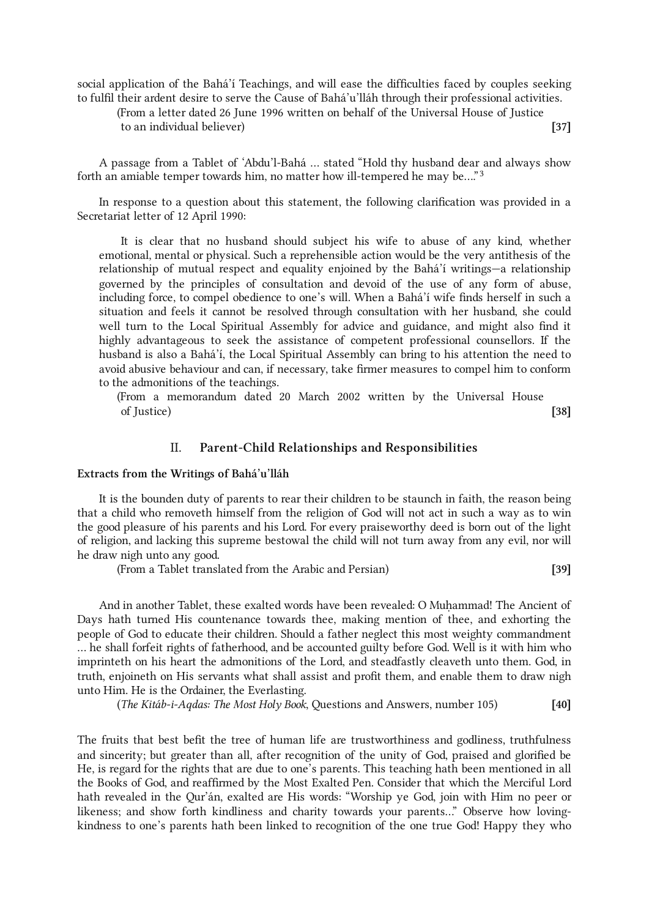social application of the Bahá'í Teachings, and will ease the difficulties faced by couples seeking to fulfil their ardent desire to serve the Cause of Bahá'u'lláh through their professional activities.

(From a letter dated 26 June 1996 written on behalf of the Universal House of Justice to an individual believer) and the state of the state of the state of the state of  $\sim$  [37]

<span id="page-11-1"></span>A passage from a Tablet of 'Abdu'l-Bahá … stated "Hold thy husband dear and always show forth an amiable temper towards him, no matter how ill-tempered he may be…." $^3$  $^3$ 

In response to a question about this statement, the following clarification was provided in a Secretariat letter of 12 April 1990:

It is clear that no husband should subject his wife to abuse of any kind, whether emotional, mental or physical. Such a reprehensible action would be the very antithesis of the relationship of mutual respect and equality enjoined by the Bahá'í writings—a relationship governed by the principles of consultation and devoid of the use of any form of abuse, including force, to compel obedience to one's will. When a Bahá'í wife finds herself in such a situation and feels it cannot be resolved through consultation with her husband, she could well turn to the Local Spiritual Assembly for advice and guidance, and might also find it highly advantageous to seek the assistance of competent professional counsellors. If the husband is also a Bahá'í, the Local Spiritual Assembly can bring to his attention the need to avoid abusive behaviour and can, if necessary, take firmer measures to compel him to conform to the admonitions of the teachings.

(From a memorandum dated 20 March 2002 written by the Universal House of Justice) [38]

## <span id="page-11-0"></span>II. Parent-Child Relationships and Responsibilities

# Extracts from the Writings of Bahá'u'lláh

It is the bounden duty of parents to rear their children to be staunch in faith, the reason being that a child who removeth himself from the religion of God will not act in such a way as to win the good pleasure of his parents and his Lord. For every praiseworthy deed is born out of the light of religion, and lacking this supreme bestowal the child will not turn away from any evil, nor will he draw nigh unto any good.

(From a Tablet translated from the Arabic and Persian) [39]

And in another Tablet, these exalted words have been revealed: O Muhammad! The Ancient of Days hath turned His countenance towards thee, making mention of thee, and exhorting the people of God to educate their children. Should a father neglect this most weighty commandment … he shall forfeit rights of fatherhood, and be accounted guilty before God. Well is it with him who imprinteth on his heart the admonitions of the Lord, and steadfastly cleaveth unto them. God, in truth, enjoineth on His servants what shall assist and profit them, and enable them to draw nigh unto Him. He is the Ordainer, the Everlasting.

(The Kitáb-i-Aqdas: The Most Holy Book, Questions and Answers, number 105) [40]

The fruits that best befit the tree of human life are trustworthiness and godliness, truthfulness and sincerity; but greater than all, after recognition of the unity of God, praised and glorified be He, is regard for the rights that are due to one's parents. This teaching hath been mentioned in all the Books of God, and reaffirmed by the Most Exalted Pen. Consider that which the Merciful Lord hath revealed in the Qur'án, exalted are His words: "Worship ye God, join with Him no peer or likeness; and show forth kindliness and charity towards your parents…" Observe how lovingkindness to one's parents hath been linked to recognition of the one true God! Happy they who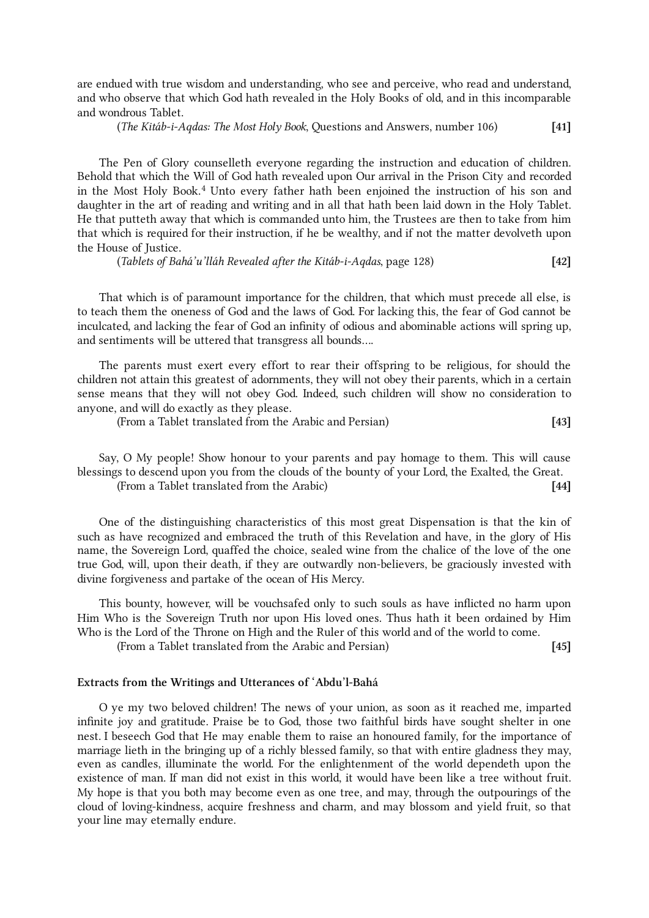are endued with true wisdom and understanding, who see and perceive, who read and understand, and who observe that which God hath revealed in the Holy Books of old, and in this incomparable and wondrous Tablet.

(The Kitáb-i-Aqdas: The Most Holy Book, Questions and Answers, number 106) [41]

<span id="page-12-0"></span>The Pen of Glory counselleth everyone regarding the instruction and education of children. Behold that which the Will of God hath revealed upon Our arrival in the Prison City and recorded in the Most Holy Book. [4](#page-33-3) Unto every father hath been enjoined the instruction of his son and daughter in the art of reading and writing and in all that hath been laid down in the Holy Tablet. He that putteth away that which is commanded unto him, the Trustees are then to take from him that which is required for their instruction, if he be wealthy, and if not the matter devolveth upon the House of Justice.

(Tablets of Bahá'u'lláh Revealed after the Kitáb-i-Aqdas, page 128) [42]

That which is of paramount importance for the children, that which must precede all else, is to teach them the oneness of God and the laws of God. For lacking this, the fear of God cannot be inculcated, and lacking the fear of God an infinity of odious and abominable actions will spring up, and sentiments will be uttered that transgress all bounds….

The parents must exert every effort to rear their offspring to be religious, for should the children not attain this greatest of adornments, they will not obey their parents, which in a certain sense means that they will not obey God. Indeed, such children will show no consideration to anyone, and will do exactly as they please.

(From a Tablet translated from the Arabic and Persian) [43]

Say, O My people! Show honour to your parents and pay homage to them. This will cause blessings to descend upon you from the clouds of the bounty of your Lord, the Exalted, the Great. (From a Tablet translated from the Arabic) [44]

One of the distinguishing characteristics of this most great Dispensation is that the kin of such as have recognized and embraced the truth of this Revelation and have, in the glory of His name, the Sovereign Lord, quaffed the choice, sealed wine from the chalice of the love of the one true God, will, upon their death, if they are outwardly non-believers, be graciously invested with divine forgiveness and partake of the ocean of His Mercy.

This bounty, however, will be vouchsafed only to such souls as have inflicted no harm upon Him Who is the Sovereign Truth nor upon His loved ones. Thus hath it been ordained by Him Who is the Lord of the Throne on High and the Ruler of this world and of the world to come.

(From a Tablet translated from the Arabic and Persian) [45]

Extracts from the Writings and Utterances of 'Abdu'l-Bahá

O ye my two beloved children! The news of your union, as soon as it reached me, imparted infinite joy and gratitude. Praise be to God, those two faithful birds have sought shelter in one nest. I beseech God that He may enable them to raise an honoured family, for the importance of marriage lieth in the bringing up of a richly blessed family, so that with entire gladness they may, even as candles, illuminate the world. For the enlightenment of the world dependeth upon the existence of man. If man did not exist in this world, it would have been like a tree without fruit. My hope is that you both may become even as one tree, and may, through the outpourings of the cloud of loving-kindness, acquire freshness and charm, and may blossom and yield fruit, so that your line may eternally endure.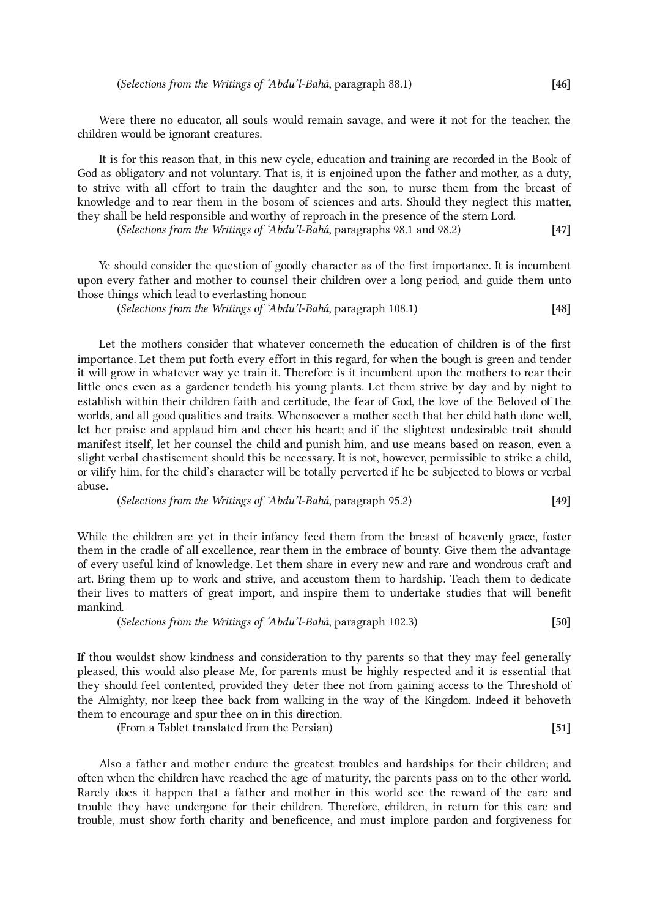Were there no educator, all souls would remain savage, and were it not for the teacher, the children would be ignorant creatures.

It is for this reason that, in this new cycle, education and training are recorded in the Book of God as obligatory and not voluntary. That is, it is enjoined upon the father and mother, as a duty, to strive with all effort to train the daughter and the son, to nurse them from the breast of knowledge and to rear them in the bosom of sciences and arts. Should they neglect this matter, they shall be held responsible and worthy of reproach in the presence of the stern Lord.

(Selections from the Writings of 'Abdu'l-Bahá, paragraphs 98.1 and 98.2) [47]

Ye should consider the question of goodly character as of the first importance. It is incumbent upon every father and mother to counsel their children over a long period, and guide them unto those things which lead to everlasting honour.

(Selections from the Writings of 'Abdu'l-Bahá, paragraph 108.1) [48]

Let the mothers consider that whatever concerneth the education of children is of the first importance. Let them put forth every effort in this regard, for when the bough is green and tender it will grow in whatever way ye train it. Therefore is it incumbent upon the mothers to rear their little ones even as a gardener tendeth his young plants. Let them strive by day and by night to establish within their children faith and certitude, the fear of God, the love of the Beloved of the worlds, and all good qualities and traits. Whensoever a mother seeth that her child hath done well, let her praise and applaud him and cheer his heart; and if the slightest undesirable trait should manifest itself, let her counsel the child and punish him, and use means based on reason, even a slight verbal chastisement should this be necessary. It is not, however, permissible to strike a child, or vilify him, for the child's character will be totally perverted if he be subjected to blows or verbal abuse.

```
(Selections from the Writings of 'Abdu'l-Bahá, paragraph 95.2) [49]
```
While the children are yet in their infancy feed them from the breast of heavenly grace, foster them in the cradle of all excellence, rear them in the embrace of bounty. Give them the advantage of every useful kind of knowledge. Let them share in every new and rare and wondrous craft and art. Bring them up to work and strive, and accustom them to hardship. Teach them to dedicate their lives to matters of great import, and inspire them to undertake studies that will benefit mankind.

(Selections from the Writings of 'Abdu'l-Bahá, paragraph 102.3) [50]

If thou wouldst show kindness and consideration to thy parents so that they may feel generally pleased, this would also please Me, for parents must be highly respected and it is essential that they should feel contented, provided they deter thee not from gaining access to the Threshold of the Almighty, nor keep thee back from walking in the way of the Kingdom. Indeed it behoveth them to encourage and spur thee on in this direction.

(From a Tablet translated from the Persian) [51]

Also a father and mother endure the greatest troubles and hardships for their children; and often when the children have reached the age of maturity, the parents pass on to the other world. Rarely does it happen that a father and mother in this world see the reward of the care and trouble they have undergone for their children. Therefore, children, in return for this care and trouble, must show forth charity and beneficence, and must implore pardon and forgiveness for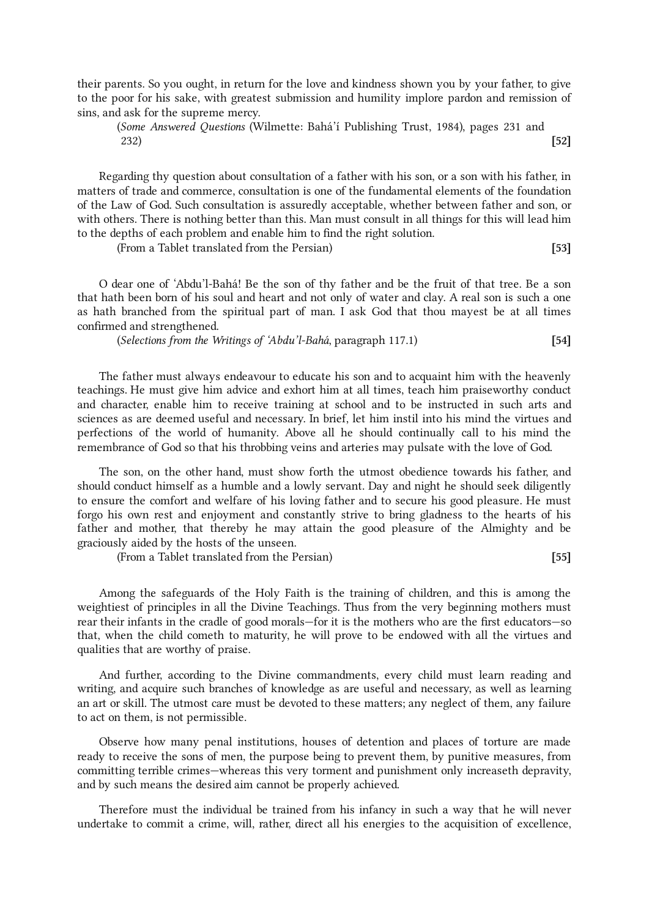their parents. So you ought, in return for the love and kindness shown you by your father, to give to the poor for his sake, with greatest submission and humility implore pardon and remission of sins, and ask for the supreme mercy.

(Some Answered Questions (Wilmette: Bahá'í Publishing Trust, 1984), pages 231 and  $232)$  [52]

Regarding thy question about consultation of a father with his son, or a son with his father, in matters of trade and commerce, consultation is one of the fundamental elements of the foundation of the Law of God. Such consultation is assuredly acceptable, whether between father and son, or with others. There is nothing better than this. Man must consult in all things for this will lead him to the depths of each problem and enable him to find the right solution.

(From a Tablet translated from the Persian) [53]

O dear one of 'Abdu'l-Bahá! Be the son of thy father and be the fruit of that tree. Be a son that hath been born of his soul and heart and not only of water and clay. A real son is such a one as hath branched from the spiritual part of man. I ask God that thou mayest be at all times confirmed and strengthened.

(Selections from the Writings of 'Abdu'l-Bahá, paragraph 117.1) [54]

The father must always endeavour to educate his son and to acquaint him with the heavenly teachings. He must give him advice and exhort him at all times, teach him praiseworthy conduct and character, enable him to receive training at school and to be instructed in such arts and sciences as are deemed useful and necessary. In brief, let him instil into his mind the virtues and perfections of the world of humanity. Above all he should continually call to his mind the remembrance of God so that his throbbing veins and arteries may pulsate with the love of God.

The son, on the other hand, must show forth the utmost obedience towards his father, and should conduct himself as a humble and a lowly servant. Day and night he should seek diligently to ensure the comfort and welfare of his loving father and to secure his good pleasure. He must forgo his own rest and enjoyment and constantly strive to bring gladness to the hearts of his father and mother, that thereby he may attain the good pleasure of the Almighty and be graciously aided by the hosts of the unseen.

(From a Tablet translated from the Persian) [55]

Among the safeguards of the Holy Faith is the training of children, and this is among the weightiest of principles in all the Divine Teachings. Thus from the very beginning mothers must rear their infants in the cradle of good morals—for it is the mothers who are the first educators—so that, when the child cometh to maturity, he will prove to be endowed with all the virtues and qualities that are worthy of praise.

And further, according to the Divine commandments, every child must learn reading and writing, and acquire such branches of knowledge as are useful and necessary, as well as learning an art or skill. The utmost care must be devoted to these matters; any neglect of them, any failure to act on them, is not permissible.

Observe how many penal institutions, houses of detention and places of torture are made ready to receive the sons of men, the purpose being to prevent them, by punitive measures, from committing terrible crimes—whereas this very torment and punishment only increaseth depravity, and by such means the desired aim cannot be properly achieved.

Therefore must the individual be trained from his infancy in such a way that he will never undertake to commit a crime, will, rather, direct all his energies to the acquisition of excellence,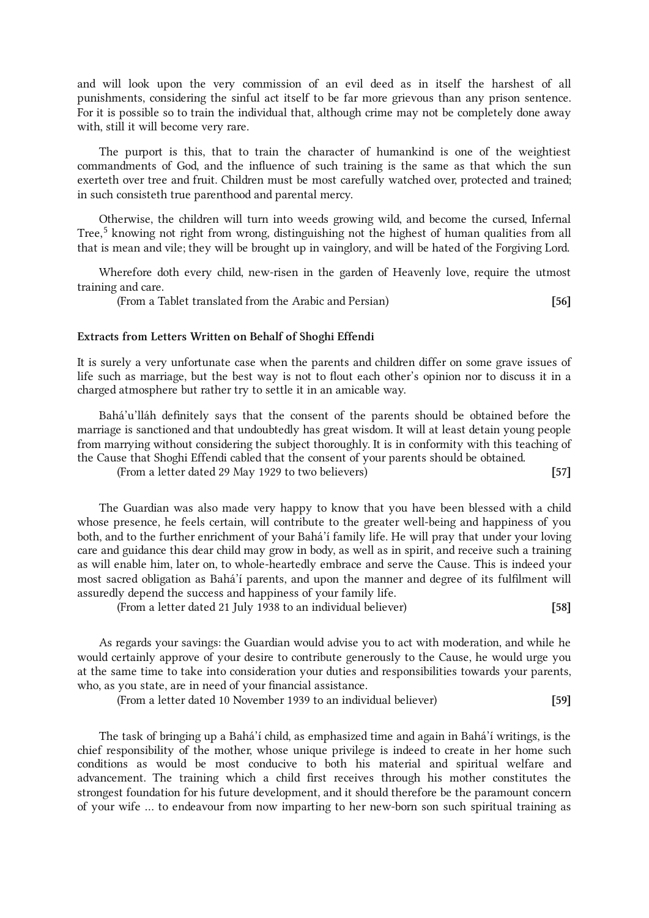and will look upon the very commission of an evil deed as in itself the harshest of all punishments, considering the sinful act itself to be far more grievous than any prison sentence. For it is possible so to train the individual that, although crime may not be completely done away with, still it will become very rare.

The purport is this, that to train the character of humankind is one of the weightiest commandments of God, and the influence of such training is the same as that which the sun exerteth over tree and fruit. Children must be most carefully watched over, protected and trained; in such consisteth true parenthood and parental mercy.

<span id="page-15-0"></span>Otherwise, the children will turn into weeds growing wild, and become the cursed, Infernal Tree, [5](#page-33-4) knowing not right from wrong, distinguishing not the highest of human qualities from all that is mean and vile; they will be brought up in vainglory, and will be hated of the Forgiving Lord.

Wherefore doth every child, new-risen in the garden of Heavenly love, require the utmost training and care.

(From a Tablet translated from the Arabic and Persian) [56]

#### Extracts from Letters Written on Behalf of Shoghi Effendi

It is surely a very unfortunate case when the parents and children differ on some grave issues of life such as marriage, but the best way is not to flout each other's opinion nor to discuss it in a charged atmosphere but rather try to settle it in an amicable way.

Bahá'u'lláh definitely says that the consent of the parents should be obtained before the marriage is sanctioned and that undoubtedly has great wisdom. It will at least detain young people from marrying without considering the subject thoroughly. It is in conformity with this teaching of the Cause that Shoghi Effendi cabled that the consent of your parents should be obtained.

(From a letter dated 29 May 1929 to two believers) [57]

The Guardian was also made very happy to know that you have been blessed with a child whose presence, he feels certain, will contribute to the greater well-being and happiness of you both, and to the further enrichment of your Bahá'í family life. He will pray that under your loving care and guidance this dear child may grow in body, as well as in spirit, and receive such a training as will enable him, later on, to whole-heartedly embrace and serve the Cause. This is indeed your most sacred obligation as Bahá'í parents, and upon the manner and degree of its fulfilment will assuredly depend the success and happiness of your family life.

(From a letter dated 21 July 1938 to an individual believer) [58]

As regards your savings: the Guardian would advise you to act with moderation, and while he would certainly approve of your desire to contribute generously to the Cause, he would urge you at the same time to take into consideration your duties and responsibilities towards your parents, who, as you state, are in need of your financial assistance.

(From a letter dated 10 November 1939 to an individual believer) [59]

The task of bringing up a Bahá'í child, as emphasized time and again in Bahá'í writings, is the chief responsibility of the mother, whose unique privilege is indeed to create in her home such conditions as would be most conducive to both his material and spiritual welfare and advancement. The training which a child first receives through his mother constitutes the strongest foundation for his future development, and it should therefore be the paramount concern of your wife … to endeavour from now imparting to her new-born son such spiritual training as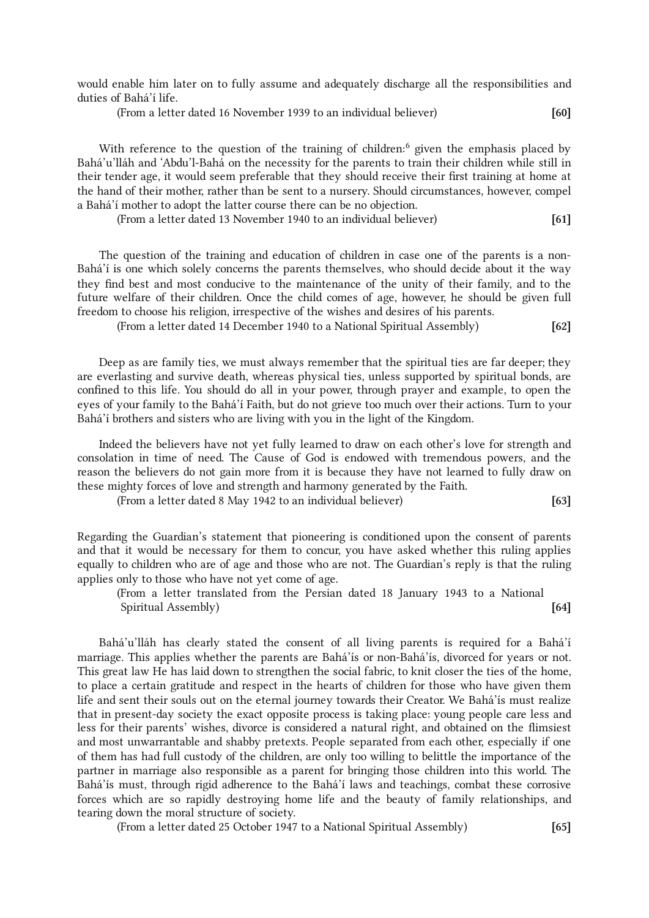would enable him later on to fully assume and adequately discharge all the responsibilities and duties of Bahá'í life.

(From a letter dated 16 November 1939 to an individual believer) [60]

<span id="page-16-0"></span>With reference to the question of the training of children:<sup>[6](#page-33-5)</sup> given the emphasis placed by Bahá'u'lláh and 'Abdu'l-Bahá on the necessity for the parents to train their children while still in their tender age, it would seem preferable that they should receive their first training at home at the hand of their mother, rather than be sent to a nursery. Should circumstances, however, compel a Bahá'í mother to adopt the latter course there can be no objection.

(From a letter dated 13 November 1940 to an individual believer) [61]

The question of the training and education of children in case one of the parents is a non-Bahá'í is one which solely concerns the parents themselves, who should decide about it the way they find best and most conducive to the maintenance of the unity of their family, and to the future welfare of their children. Once the child comes of age, however, he should be given full freedom to choose his religion, irrespective of the wishes and desires of his parents.

(From a letter dated 14 December 1940 to a National Spiritual Assembly) [62]

Deep as are family ties, we must always remember that the spiritual ties are far deeper; they are everlasting and survive death, whereas physical ties, unless supported by spiritual bonds, are confined to this life. You should do all in your power, through prayer and example, to open the eyes of your family to the Bahá'í Faith, but do not grieve too much over their actions. Turn to your Bahá'í brothers and sisters who are living with you in the light of the Kingdom.

Indeed the believers have not yet fully learned to draw on each other's love for strength and consolation in time of need. The Cause of God is endowed with tremendous powers, and the reason the believers do not gain more from it is because they have not learned to fully draw on these mighty forces of love and strength and harmony generated by the Faith.

(From a letter dated 8 May 1942 to an individual believer) [63]

Regarding the Guardian's statement that pioneering is conditioned upon the consent of parents and that it would be necessary for them to concur, you have asked whether this ruling applies equally to children who are of age and those who are not. The Guardian's reply is that the ruling applies only to those who have not yet come of age.

(From a letter translated from the Persian dated 18 January 1943 to a National Spiritual Assembly) [64]

Bahá'u'lláh has clearly stated the consent of all living parents is required for a Bahá'í marriage. This applies whether the parents are Bahá'ís or non-Bahá'ís, divorced for years or not. This great law He has laid down to strengthen the social fabric, to knit closer the ties of the home, to place a certain gratitude and respect in the hearts of children for those who have given them life and sent their souls out on the eternal journey towards their Creator. We Bahá'ís must realize that in present-day society the exact opposite process is taking place: young people care less and less for their parents' wishes, divorce is considered a natural right, and obtained on the flimsiest and most unwarrantable and shabby pretexts. People separated from each other, especially if one of them has had full custody of the children, are only too willing to belittle the importance of the partner in marriage also responsible as a parent for bringing those children into this world. The Bahá'ís must, through rigid adherence to the Bahá'í laws and teachings, combat these corrosive forces which are so rapidly destroying home life and the beauty of family relationships, and tearing down the moral structure of society.

(From a letter dated 25 October 1947 to a National Spiritual Assembly) [65]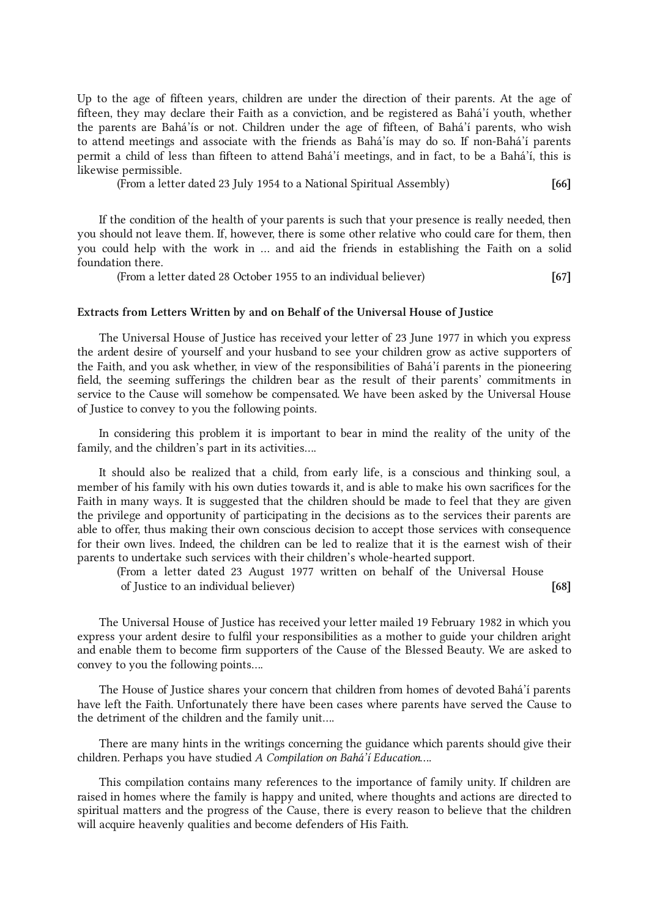Up to the age of fifteen years, children are under the direction of their parents. At the age of fifteen, they may declare their Faith as a conviction, and be registered as Bahá'í youth, whether the parents are Bahá'ís or not. Children under the age of fifteen, of Bahá'í parents, who wish to attend meetings and associate with the friends as Bahá'ís may do so. If non-Bahá'í parents permit a child of less than fifteen to attend Bahá'í meetings, and in fact, to be a Bahá'í, this is likewise permissible.

(From a letter dated 23 July 1954 to a National Spiritual Assembly) [66]

If the condition of the health of your parents is such that your presence is really needed, then you should not leave them. If, however, there is some other relative who could care for them, then you could help with the work in … and aid the friends in establishing the Faith on a solid foundation there.

(From a letter dated 28 October 1955 to an individual believer) [67]

#### Extracts from Letters Written by and on Behalf of the Universal House of Justice

The Universal House of Justice has received your letter of 23 June 1977 in which you express the ardent desire of yourself and your husband to see your children grow as active supporters of the Faith, and you ask whether, in view of the responsibilities of Bahá'í parents in the pioneering field, the seeming sufferings the children bear as the result of their parents' commitments in service to the Cause will somehow be compensated. We have been asked by the Universal House of Justice to convey to you the following points.

In considering this problem it is important to bear in mind the reality of the unity of the family, and the children's part in its activities….

It should also be realized that a child, from early life, is a conscious and thinking soul, a member of his family with his own duties towards it, and is able to make his own sacrifices for the Faith in many ways. It is suggested that the children should be made to feel that they are given the privilege and opportunity of participating in the decisions as to the services their parents are able to offer, thus making their own conscious decision to accept those services with consequence for their own lives. Indeed, the children can be led to realize that it is the earnest wish of their parents to undertake such services with their children's whole-hearted support.

(From a letter dated 23 August 1977 written on behalf of the Universal House of Justice to an individual believer) [68]

The Universal House of Justice has received your letter mailed 19 February 1982 in which you express your ardent desire to fulfil your responsibilities as a mother to guide your children aright and enable them to become firm supporters of the Cause of the Blessed Beauty. We are asked to convey to you the following points….

The House of Justice shares your concern that children from homes of devoted Bahá'í parents have left the Faith. Unfortunately there have been cases where parents have served the Cause to the detriment of the children and the family unit….

There are many hints in the writings concerning the guidance which parents should give their children. Perhaps you have studied A Compilation on Bahá'í Education….

This compilation contains many references to the importance of family unity. If children are raised in homes where the family is happy and united, where thoughts and actions are directed to spiritual matters and the progress of the Cause, there is every reason to believe that the children will acquire heavenly qualities and become defenders of His Faith.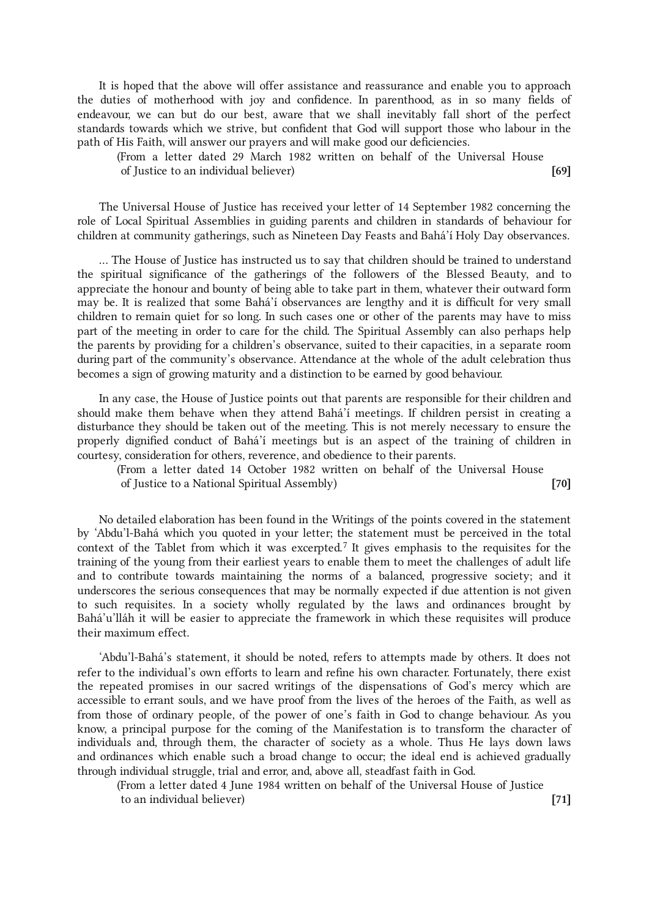It is hoped that the above will offer assistance and reassurance and enable you to approach the duties of motherhood with joy and confidence. In parenthood, as in so many fields of endeavour, we can but do our best, aware that we shall inevitably fall short of the perfect standards towards which we strive, but confident that God will support those who labour in the path of His Faith, will answer our prayers and will make good our deficiencies.

(From a letter dated 29 March 1982 written on behalf of the Universal House of Justice to an individual believer) [69]

The Universal House of Justice has received your letter of 14 September 1982 concerning the role of Local Spiritual Assemblies in guiding parents and children in standards of behaviour for children at community gatherings, such as Nineteen Day Feasts and Bahá'í Holy Day observances.

… The House of Justice has instructed us to say that children should be trained to understand the spiritual significance of the gatherings of the followers of the Blessed Beauty, and to appreciate the honour and bounty of being able to take part in them, whatever their outward form may be. It is realized that some Bahá'í observances are lengthy and it is difficult for very small children to remain quiet for so long. In such cases one or other of the parents may have to miss part of the meeting in order to care for the child. The Spiritual Assembly can also perhaps help the parents by providing for a children's observance, suited to their capacities, in a separate room during part of the community's observance. Attendance at the whole of the adult celebration thus becomes a sign of growing maturity and a distinction to be earned by good behaviour.

In any case, the House of Justice points out that parents are responsible for their children and should make them behave when they attend Bahá'í meetings. If children persist in creating a disturbance they should be taken out of the meeting. This is not merely necessary to ensure the properly dignified conduct of Bahá'í meetings but is an aspect of the training of children in courtesy, consideration for others, reverence, and obedience to their parents.

(From a letter dated 14 October 1982 written on behalf of the Universal House of Justice to a National Spiritual Assembly) [70]

<span id="page-18-0"></span>No detailed elaboration has been found in the Writings of the points covered in the statement by 'Abdu'l-Bahá which you quoted in your letter; the statement must be perceived in the total context of the Tablet from which it was excerpted.<sup>[7](#page-33-6)</sup> It gives emphasis to the requisites for the training of the young from their earliest years to enable them to meet the challenges of adult life and to contribute towards maintaining the norms of a balanced, progressive society; and it underscores the serious consequences that may be normally expected if due attention is not given to such requisites. In a society wholly regulated by the laws and ordinances brought by Bahá'u'lláh it will be easier to appreciate the framework in which these requisites will produce their maximum effect.

'Abdu'l-Bahá's statement, it should be noted, refers to attempts made by others. It does not refer to the individual's own efforts to learn and refine his own character. Fortunately, there exist the repeated promises in our sacred writings of the dispensations of God's mercy which are accessible to errant souls, and we have proof from the lives of the heroes of the Faith, as well as from those of ordinary people, of the power of one's faith in God to change behaviour. As you know, a principal purpose for the coming of the Manifestation is to transform the character of individuals and, through them, the character of society as a whole. Thus He lays down laws and ordinances which enable such a broad change to occur; the ideal end is achieved gradually through individual struggle, trial and error, and, above all, steadfast faith in God.

(From a letter dated 4 June 1984 written on behalf of the Universal House of Justice to an individual believer) [71]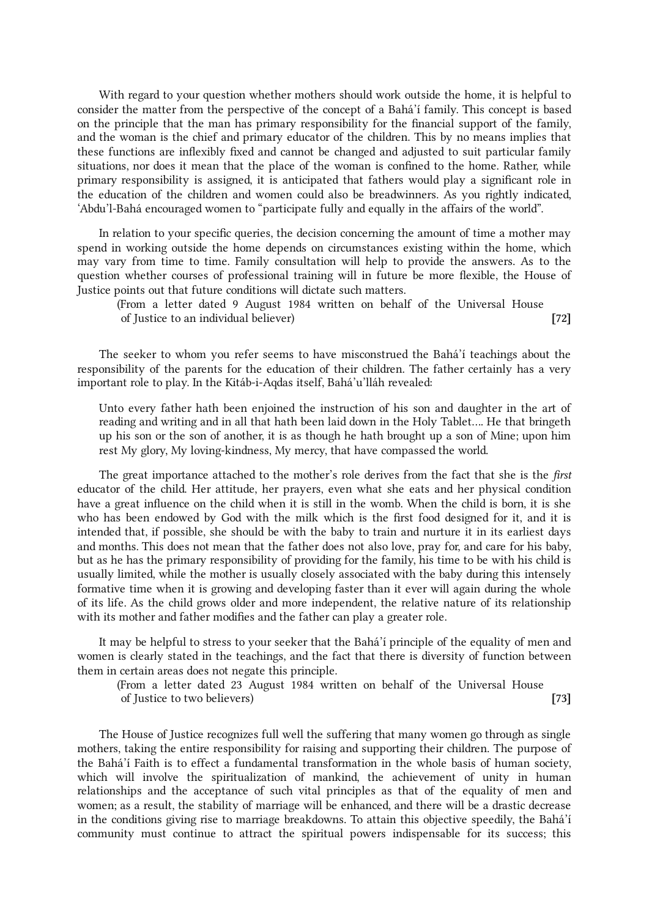With regard to your question whether mothers should work outside the home, it is helpful to consider the matter from the perspective of the concept of a Bahá'í family. This concept is based on the principle that the man has primary responsibility for the financial support of the family, and the woman is the chief and primary educator of the children. This by no means implies that these functions are inflexibly fixed and cannot be changed and adjusted to suit particular family situations, nor does it mean that the place of the woman is confined to the home. Rather, while primary responsibility is assigned, it is anticipated that fathers would play a significant role in the education of the children and women could also be breadwinners. As you rightly indicated, 'Abdu'l-Bahá encouraged women to "participate fully and equally in the affairs of the world".

In relation to your specific queries, the decision concerning the amount of time a mother may spend in working outside the home depends on circumstances existing within the home, which may vary from time to time. Family consultation will help to provide the answers. As to the question whether courses of professional training will in future be more flexible, the House of Justice points out that future conditions will dictate such matters.

(From a letter dated 9 August 1984 written on behalf of the Universal House of Justice to an individual believer) [72]

The seeker to whom you refer seems to have misconstrued the Bahá'í teachings about the responsibility of the parents for the education of their children. The father certainly has a very important role to play. In the Kitáb-i-Aqdas itself, Bahá'u'lláh revealed:

Unto every father hath been enjoined the instruction of his son and daughter in the art of reading and writing and in all that hath been laid down in the Holy Tablet…. He that bringeth up his son or the son of another, it is as though he hath brought up a son of Mine; upon him rest My glory, My loving-kindness, My mercy, that have compassed the world.

The great importance attached to the mother's role derives from the fact that she is the first educator of the child. Her attitude, her prayers, even what she eats and her physical condition have a great influence on the child when it is still in the womb. When the child is born, it is she who has been endowed by God with the milk which is the first food designed for it, and it is intended that, if possible, she should be with the baby to train and nurture it in its earliest days and months. This does not mean that the father does not also love, pray for, and care for his baby, but as he has the primary responsibility of providing for the family, his time to be with his child is usually limited, while the mother is usually closely associated with the baby during this intensely formative time when it is growing and developing faster than it ever will again during the whole of its life. As the child grows older and more independent, the relative nature of its relationship with its mother and father modifies and the father can play a greater role.

It may be helpful to stress to your seeker that the Bahá'í principle of the equality of men and women is clearly stated in the teachings, and the fact that there is diversity of function between them in certain areas does not negate this principle.

(From a letter dated 23 August 1984 written on behalf of the Universal House of Justice to two believers) [73]

The House of Justice recognizes full well the suffering that many women go through as single mothers, taking the entire responsibility for raising and supporting their children. The purpose of the Bahá'í Faith is to effect a fundamental transformation in the whole basis of human society, which will involve the spiritualization of mankind, the achievement of unity in human relationships and the acceptance of such vital principles as that of the equality of men and women; as a result, the stability of marriage will be enhanced, and there will be a drastic decrease in the conditions giving rise to marriage breakdowns. To attain this objective speedily, the Bahá'í community must continue to attract the spiritual powers indispensable for its success; this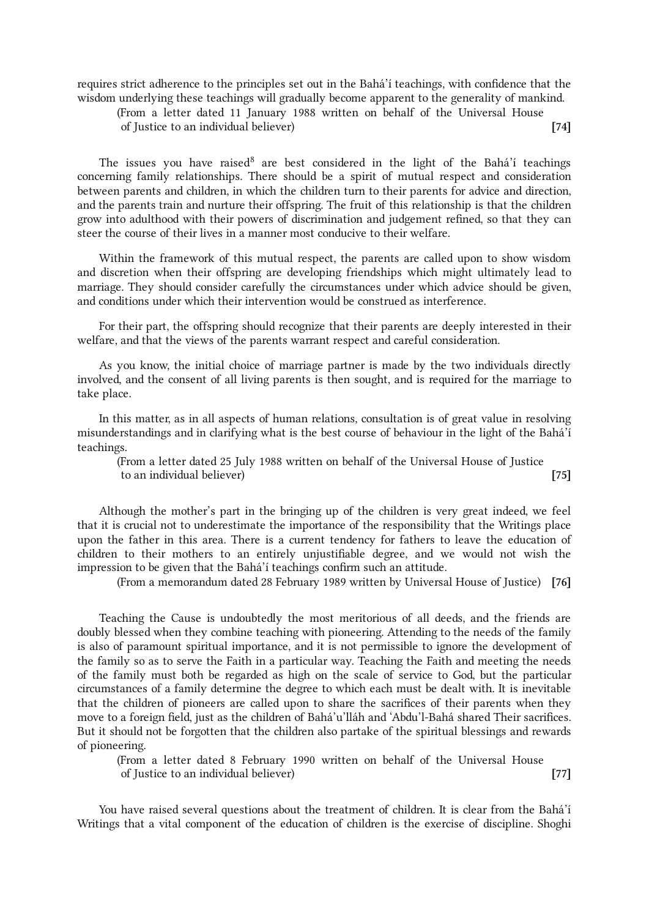requires strict adherence to the principles set out in the Bahá'í teachings, with confidence that the wisdom underlying these teachings will gradually become apparent to the generality of mankind.

(From a letter dated 11 January 1988 written on behalf of the Universal House of Justice to an individual believer) [74]

<span id="page-20-0"></span>The issues you have raised<sup>[8](#page-33-7)</sup> are best considered in the light of the Bahá'í teachings concerning family relationships. There should be a spirit of mutual respect and consideration between parents and children, in which the children turn to their parents for advice and direction, and the parents train and nurture their offspring. The fruit of this relationship is that the children grow into adulthood with their powers of discrimination and judgement refined, so that they can steer the course of their lives in a manner most conducive to their welfare.

Within the framework of this mutual respect, the parents are called upon to show wisdom and discretion when their offspring are developing friendships which might ultimately lead to marriage. They should consider carefully the circumstances under which advice should be given, and conditions under which their intervention would be construed as interference.

For their part, the offspring should recognize that their parents are deeply interested in their welfare, and that the views of the parents warrant respect and careful consideration.

As you know, the initial choice of marriage partner is made by the two individuals directly involved, and the consent of all living parents is then sought, and is required for the marriage to take place.

In this matter, as in all aspects of human relations, consultation is of great value in resolving misunderstandings and in clarifying what is the best course of behaviour in the light of the Bahá'í teachings.

(From a letter dated 25 July 1988 written on behalf of the Universal House of Justice to an individual believer) [75]

Although the mother's part in the bringing up of the children is very great indeed, we feel that it is crucial not to underestimate the importance of the responsibility that the Writings place upon the father in this area. There is a current tendency for fathers to leave the education of children to their mothers to an entirely unjustifiable degree, and we would not wish the impression to be given that the Bahá'í teachings confirm such an attitude.

(From a memorandum dated 28 February 1989 written by Universal House of Justice) [76]

Teaching the Cause is undoubtedly the most meritorious of all deeds, and the friends are doubly blessed when they combine teaching with pioneering. Attending to the needs of the family is also of paramount spiritual importance, and it is not permissible to ignore the development of the family so as to serve the Faith in a particular way. Teaching the Faith and meeting the needs of the family must both be regarded as high on the scale of service to God, but the particular circumstances of a family determine the degree to which each must be dealt with. It is inevitable that the children of pioneers are called upon to share the sacrifices of their parents when they move to a foreign field, just as the children of Bahá'u'lláh and 'Abdu'l-Bahá shared Their sacrifices. But it should not be forgotten that the children also partake of the spiritual blessings and rewards of pioneering.

(From a letter dated 8 February 1990 written on behalf of the Universal House of Justice to an individual believer) [77]

You have raised several questions about the treatment of children. It is clear from the Bahá'í Writings that a vital component of the education of children is the exercise of discipline. Shoghi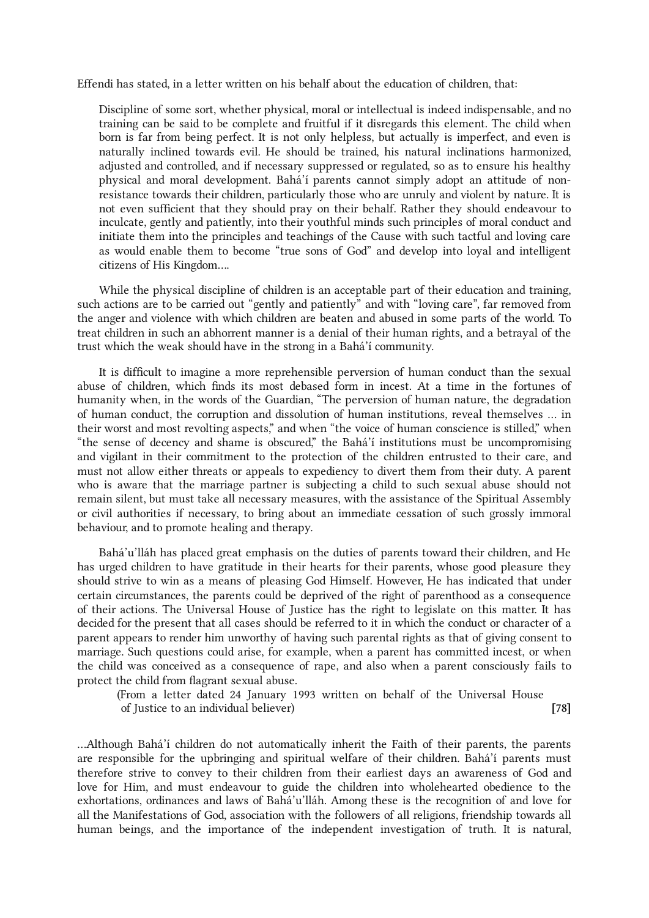Effendi has stated, in a letter written on his behalf about the education of children, that:

Discipline of some sort, whether physical, moral or intellectual is indeed indispensable, and no training can be said to be complete and fruitful if it disregards this element. The child when born is far from being perfect. It is not only helpless, but actually is imperfect, and even is naturally inclined towards evil. He should be trained, his natural inclinations harmonized, adjusted and controlled, and if necessary suppressed or regulated, so as to ensure his healthy physical and moral development. Bahá'í parents cannot simply adopt an attitude of nonresistance towards their children, particularly those who are unruly and violent by nature. It is not even sufficient that they should pray on their behalf. Rather they should endeavour to inculcate, gently and patiently, into their youthful minds such principles of moral conduct and initiate them into the principles and teachings of the Cause with such tactful and loving care as would enable them to become "true sons of God" and develop into loyal and intelligent citizens of His Kingdom….

While the physical discipline of children is an acceptable part of their education and training, such actions are to be carried out "gently and patiently" and with "loving care", far removed from the anger and violence with which children are beaten and abused in some parts of the world. To treat children in such an abhorrent manner is a denial of their human rights, and a betrayal of the trust which the weak should have in the strong in a Bahá'í community.

It is difficult to imagine a more reprehensible perversion of human conduct than the sexual abuse of children, which finds its most debased form in incest. At a time in the fortunes of humanity when, in the words of the Guardian, "The perversion of human nature, the degradation of human conduct, the corruption and dissolution of human institutions, reveal themselves … in their worst and most revolting aspects," and when "the voice of human conscience is stilled," when "the sense of decency and shame is obscured," the Bahá'í institutions must be uncompromising and vigilant in their commitment to the protection of the children entrusted to their care, and must not allow either threats or appeals to expediency to divert them from their duty. A parent who is aware that the marriage partner is subjecting a child to such sexual abuse should not remain silent, but must take all necessary measures, with the assistance of the Spiritual Assembly or civil authorities if necessary, to bring about an immediate cessation of such grossly immoral behaviour, and to promote healing and therapy.

Bahá'u'lláh has placed great emphasis on the duties of parents toward their children, and He has urged children to have gratitude in their hearts for their parents, whose good pleasure they should strive to win as a means of pleasing God Himself. However, He has indicated that under certain circumstances, the parents could be deprived of the right of parenthood as a consequence of their actions. The Universal House of Justice has the right to legislate on this matter. It has decided for the present that all cases should be referred to it in which the conduct or character of a parent appears to render him unworthy of having such parental rights as that of giving consent to marriage. Such questions could arise, for example, when a parent has committed incest, or when the child was conceived as a consequence of rape, and also when a parent consciously fails to protect the child from flagrant sexual abuse.

(From a letter dated 24 January 1993 written on behalf of the Universal House of Justice to an individual believer) [78]

…Although Bahá'í children do not automatically inherit the Faith of their parents, the parents are responsible for the upbringing and spiritual welfare of their children. Bahá'í parents must therefore strive to convey to their children from their earliest days an awareness of God and love for Him, and must endeavour to guide the children into wholehearted obedience to the exhortations, ordinances and laws of Bahá'u'lláh. Among these is the recognition of and love for all the Manifestations of God, association with the followers of all religions, friendship towards all human beings, and the importance of the independent investigation of truth. It is natural,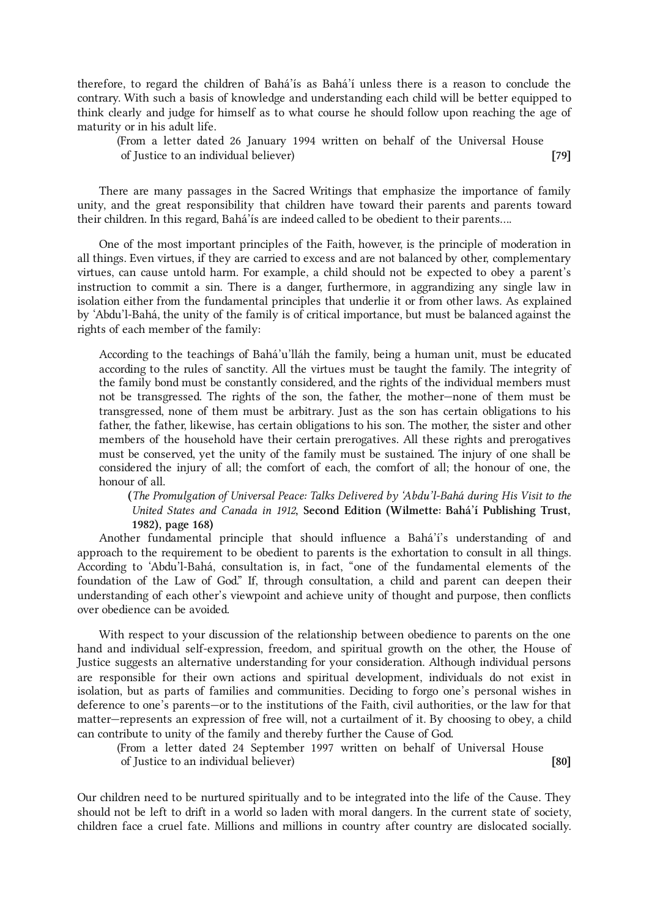therefore, to regard the children of Bahá'ís as Bahá'í unless there is a reason to conclude the contrary. With such a basis of knowledge and understanding each child will be better equipped to think clearly and judge for himself as to what course he should follow upon reaching the age of maturity or in his adult life.

(From a letter dated 26 January 1994 written on behalf of the Universal House of Justice to an individual believer) [79]

There are many passages in the Sacred Writings that emphasize the importance of family unity, and the great responsibility that children have toward their parents and parents toward their children. In this regard, Bahá'ís are indeed called to be obedient to their parents….

One of the most important principles of the Faith, however, is the principle of moderation in all things. Even virtues, if they are carried to excess and are not balanced by other, complementary virtues, can cause untold harm. For example, a child should not be expected to obey a parent's instruction to commit a sin. There is a danger, furthermore, in aggrandizing any single law in isolation either from the fundamental principles that underlie it or from other laws. As explained by 'Abdu'l-Bahá, the unity of the family is of critical importance, but must be balanced against the rights of each member of the family:

According to the teachings of Bahá'u'lláh the family, being a human unit, must be educated according to the rules of sanctity. All the virtues must be taught the family. The integrity of the family bond must be constantly considered, and the rights of the individual members must not be transgressed. The rights of the son, the father, the mother—none of them must be transgressed, none of them must be arbitrary. Just as the son has certain obligations to his father, the father, likewise, has certain obligations to his son. The mother, the sister and other members of the household have their certain prerogatives. All these rights and prerogatives must be conserved, yet the unity of the family must be sustained. The injury of one shall be considered the injury of all; the comfort of each, the comfort of all; the honour of one, the honour of all.

(The Promulgation of Universal Peace: Talks Delivered by 'Abdu'l-Bahá during His Visit to the United States and Canada in 1912, Second Edition (Wilmette: Bahá'í Publishing Trust, 1982), page 168)

Another fundamental principle that should influence a Bahá'í's understanding of and approach to the requirement to be obedient to parents is the exhortation to consult in all things. According to 'Abdu'l-Bahá, consultation is, in fact, "one of the fundamental elements of the foundation of the Law of God." If, through consultation, a child and parent can deepen their understanding of each other's viewpoint and achieve unity of thought and purpose, then conflicts over obedience can be avoided.

With respect to your discussion of the relationship between obedience to parents on the one hand and individual self-expression, freedom, and spiritual growth on the other, the House of Justice suggests an alternative understanding for your consideration. Although individual persons are responsible for their own actions and spiritual development, individuals do not exist in isolation, but as parts of families and communities. Deciding to forgo one's personal wishes in deference to one's parents—or to the institutions of the Faith, civil authorities, or the law for that matter—represents an expression of free will, not a curtailment of it. By choosing to obey, a child can contribute to unity of the family and thereby further the Cause of God.

(From a letter dated 24 September 1997 written on behalf of Universal House of Justice to an individual believer) [80]

Our children need to be nurtured spiritually and to be integrated into the life of the Cause. They should not be left to drift in a world so laden with moral dangers. In the current state of society, children face a cruel fate. Millions and millions in country after country are dislocated socially.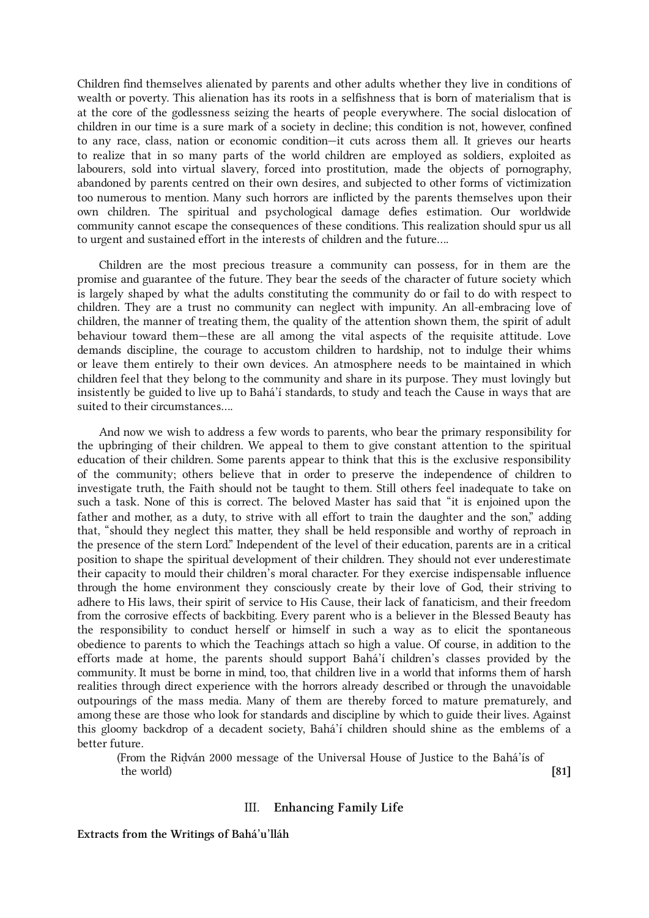Children find themselves alienated by parents and other adults whether they live in conditions of wealth or poverty. This alienation has its roots in a selfishness that is born of materialism that is at the core of the godlessness seizing the hearts of people everywhere. The social dislocation of children in our time is a sure mark of a society in decline; this condition is not, however, confined to any race, class, nation or economic condition—it cuts across them all. It grieves our hearts to realize that in so many parts of the world children are employed as soldiers, exploited as labourers, sold into virtual slavery, forced into prostitution, made the objects of pornography, abandoned by parents centred on their own desires, and subjected to other forms of victimization too numerous to mention. Many such horrors are inflicted by the parents themselves upon their own children. The spiritual and psychological damage defies estimation. Our worldwide community cannot escape the consequences of these conditions. This realization should spur us all to urgent and sustained effort in the interests of children and the future….

Children are the most precious treasure a community can possess, for in them are the promise and guarantee of the future. They bear the seeds of the character of future society which is largely shaped by what the adults constituting the community do or fail to do with respect to children. They are a trust no community can neglect with impunity. An all-embracing love of children, the manner of treating them, the quality of the attention shown them, the spirit of adult behaviour toward them—these are all among the vital aspects of the requisite attitude. Love demands discipline, the courage to accustom children to hardship, not to indulge their whims or leave them entirely to their own devices. An atmosphere needs to be maintained in which children feel that they belong to the community and share in its purpose. They must lovingly but insistently be guided to live up to Bahá'í standards, to study and teach the Cause in ways that are suited to their circumstances….

And now we wish to address a few words to parents, who bear the primary responsibility for the upbringing of their children. We appeal to them to give constant attention to the spiritual education of their children. Some parents appear to think that this is the exclusive responsibility of the community; others believe that in order to preserve the independence of children to investigate truth, the Faith should not be taught to them. Still others feel inadequate to take on such a task. None of this is correct. The beloved Master has said that "it is enjoined upon the father and mother, as a duty, to strive with all effort to train the daughter and the son," adding that, "should they neglect this matter, they shall be held responsible and worthy of reproach in the presence of the stern Lord." Independent of the level of their education, parents are in a critical position to shape the spiritual development of their children. They should not ever underestimate their capacity to mould their children's moral character. For they exercise indispensable influence through the home environment they consciously create by their love of God, their striving to adhere to His laws, their spirit of service to His Cause, their lack of fanaticism, and their freedom from the corrosive effects of backbiting. Every parent who is a believer in the Blessed Beauty has the responsibility to conduct herself or himself in such a way as to elicit the spontaneous obedience to parents to which the Teachings attach so high a value. Of course, in addition to the efforts made at home, the parents should support Bahá'í children's classes provided by the community. It must be borne in mind, too, that children live in a world that informs them of harsh realities through direct experience with the horrors already described or through the unavoidable outpourings of the mass media. Many of them are thereby forced to mature prematurely, and among these are those who look for standards and discipline by which to guide their lives. Against this gloomy backdrop of a decadent society, Bahá'í children should shine as the emblems of a better future.

(From the Riḍván 2000 message of the Universal House of Justice to the Bahá'ís of the world) [81] **[81]** 

## <span id="page-23-0"></span>III. Enhancing Family Life

Extracts from the Writings of Bahá'u'lláh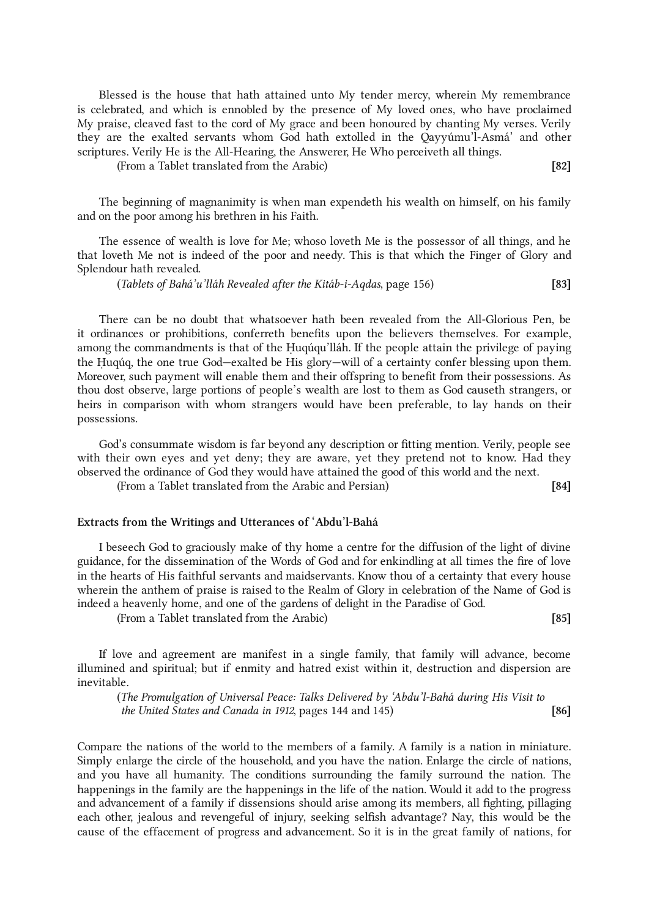Blessed is the house that hath attained unto My tender mercy, wherein My remembrance is celebrated, and which is ennobled by the presence of My loved ones, who have proclaimed My praise, cleaved fast to the cord of My grace and been honoured by chanting My verses. Verily they are the exalted servants whom God hath extolled in the Qayyúmu'l-Asmá' and other scriptures. Verily He is the All-Hearing, the Answerer, He Who perceiveth all things.

(From a Tablet translated from the Arabic) [82]

The beginning of magnanimity is when man expendeth his wealth on himself, on his family and on the poor among his brethren in his Faith.

The essence of wealth is love for Me; whoso loveth Me is the possessor of all things, and he that loveth Me not is indeed of the poor and needy. This is that which the Finger of Glory and Splendour hath revealed.

(Tablets of Bahá'u'lláh Revealed after the Kitáb-i-Aqdas, page 156) [83]

There can be no doubt that whatsoever hath been revealed from the All-Glorious Pen, be it ordinances or prohibitions, conferreth benefits upon the believers themselves. For example, among the commandments is that of the Ḥuqúqu'lláh. If the people attain the privilege of paying the Ḥuqúq, the one true God—exalted be His glory—will of a certainty confer blessing upon them. Moreover, such payment will enable them and their offspring to benefit from their possessions. As thou dost observe, large portions of people's wealth are lost to them as God causeth strangers, or heirs in comparison with whom strangers would have been preferable, to lay hands on their possessions.

God's consummate wisdom is far beyond any description or fitting mention. Verily, people see with their own eyes and yet deny; they are aware, yet they pretend not to know. Had they observed the ordinance of God they would have attained the good of this world and the next.

(From a Tablet translated from the Arabic and Persian) [84]

#### Extracts from the Writings and Utterances of 'Abdu'l-Bahá

I beseech God to graciously make of thy home a centre for the diffusion of the light of divine guidance, for the dissemination of the Words of God and for enkindling at all times the fire of love in the hearts of His faithful servants and maidservants. Know thou of a certainty that every house wherein the anthem of praise is raised to the Realm of Glory in celebration of the Name of God is indeed a heavenly home, and one of the gardens of delight in the Paradise of God.

(From a Tablet translated from the Arabic) [85]

If love and agreement are manifest in a single family, that family will advance, become illumined and spiritual; but if enmity and hatred exist within it, destruction and dispersion are inevitable.

(The Promulgation of Universal Peace: Talks Delivered by 'Abdu'l-Bahá during His Visit to the United States and Canada in 1912, pages 144 and 145) [86]

Compare the nations of the world to the members of a family. A family is a nation in miniature. Simply enlarge the circle of the household, and you have the nation. Enlarge the circle of nations, and you have all humanity. The conditions surrounding the family surround the nation. The happenings in the family are the happenings in the life of the nation. Would it add to the progress and advancement of a family if dissensions should arise among its members, all fighting, pillaging each other, jealous and revengeful of injury, seeking selfish advantage? Nay, this would be the cause of the effacement of progress and advancement. So it is in the great family of nations, for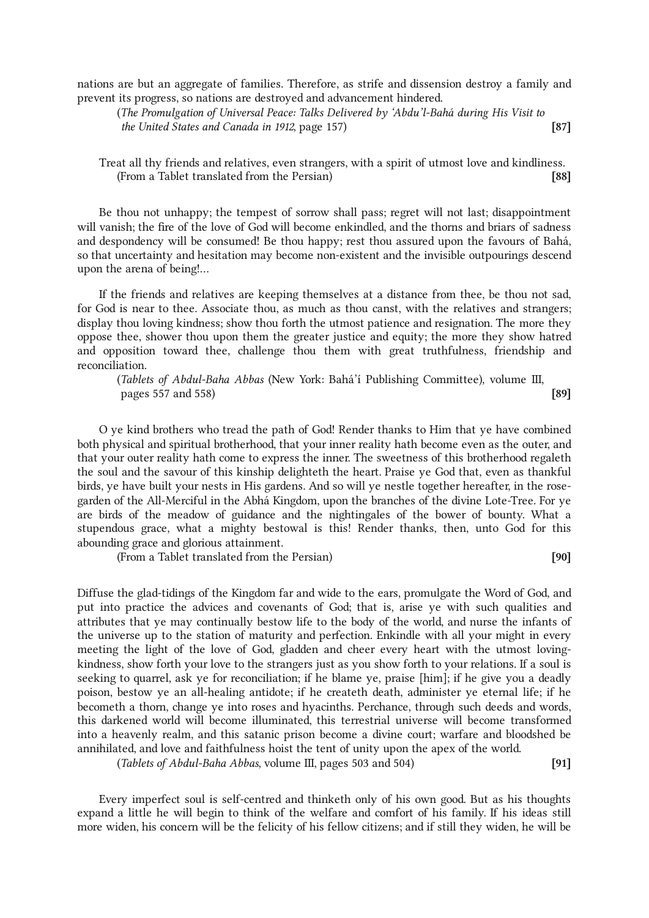nations are but an aggregate of families. Therefore, as strife and dissension destroy a family and prevent its progress, so nations are destroyed and advancement hindered.

(The Promulgation of Universal Peace: Talks Delivered by 'Abdu'l-Bahá during His Visit to the United States and Canada in 1912, page 157) [87]

Treat all thy friends and relatives, even strangers, with a spirit of utmost love and kindliness. (From a Tablet translated from the Persian) [88]

Be thou not unhappy; the tempest of sorrow shall pass; regret will not last; disappointment will vanish; the fire of the love of God will become enkindled, and the thorns and briars of sadness and despondency will be consumed! Be thou happy; rest thou assured upon the favours of Bahá, so that uncertainty and hesitation may become non-existent and the invisible outpourings descend upon the arena of being!…

If the friends and relatives are keeping themselves at a distance from thee, be thou not sad, for God is near to thee. Associate thou, as much as thou canst, with the relatives and strangers; display thou loving kindness; show thou forth the utmost patience and resignation. The more they oppose thee, shower thou upon them the greater justice and equity; the more they show hatred and opposition toward thee, challenge thou them with great truthfulness, friendship and reconciliation.

(Tablets of Abdul-Baha Abbas (New York: Bahá'í Publishing Committee), volume III, pages 557 and 558) [89]

O ye kind brothers who tread the path of God! Render thanks to Him that ye have combined both physical and spiritual brotherhood, that your inner reality hath become even as the outer, and that your outer reality hath come to express the inner. The sweetness of this brotherhood regaleth the soul and the savour of this kinship delighteth the heart. Praise ye God that, even as thankful birds, ye have built your nests in His gardens. And so will ye nestle together hereafter, in the rosegarden of the All-Merciful in the Abhá Kingdom, upon the branches of the divine Lote-Tree. For ye are birds of the meadow of guidance and the nightingales of the bower of bounty. What a stupendous grace, what a mighty bestowal is this! Render thanks, then, unto God for this abounding grace and glorious attainment.

(From a Tablet translated from the Persian) [90]

Diffuse the glad-tidings of the Kingdom far and wide to the ears, promulgate the Word of God, and put into practice the advices and covenants of God; that is, arise ye with such qualities and attributes that ye may continually bestow life to the body of the world, and nurse the infants of the universe up to the station of maturity and perfection. Enkindle with all your might in every meeting the light of the love of God, gladden and cheer every heart with the utmost lovingkindness, show forth your love to the strangers just as you show forth to your relations. If a soul is seeking to quarrel, ask ye for reconciliation; if he blame ye, praise [him]; if he give you a deadly poison, bestow ye an all-healing antidote; if he createth death, administer ye eternal life; if he becometh a thorn, change ye into roses and hyacinths. Perchance, through such deeds and words, this darkened world will become illuminated, this terrestrial universe will become transformed into a heavenly realm, and this satanic prison become a divine court; warfare and bloodshed be annihilated, and love and faithfulness hoist the tent of unity upon the apex of the world.

(Tablets of Abdul-Baha Abbas, volume III, pages 503 and 504) [91]

Every imperfect soul is self-centred and thinketh only of his own good. But as his thoughts expand a little he will begin to think of the welfare and comfort of his family. If his ideas still more widen, his concern will be the felicity of his fellow citizens; and if still they widen, he will be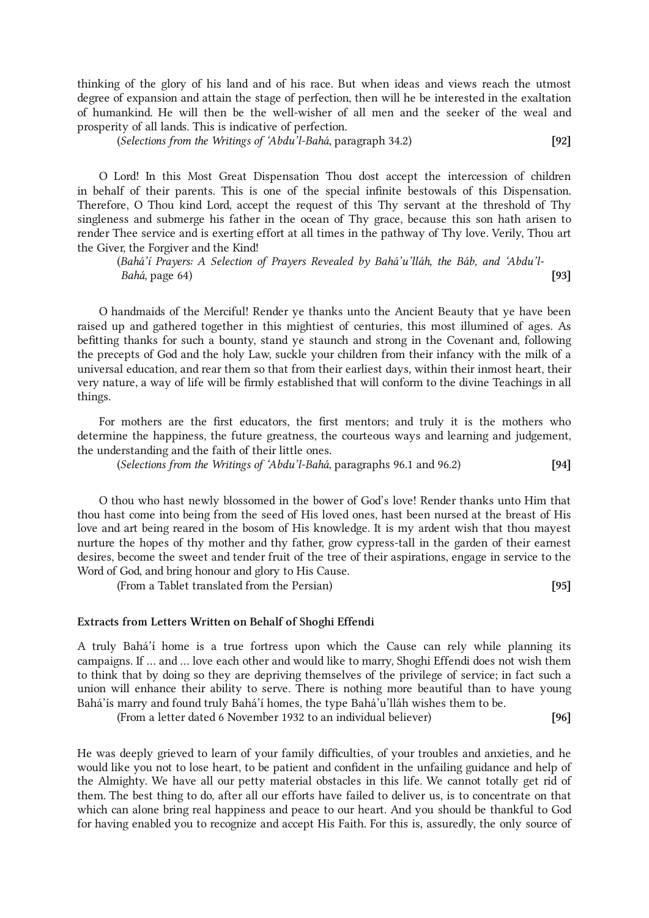thinking of the glory of his land and of his race. But when ideas and views reach the utmost degree of expansion and attain the stage of perfection, then will he be interested in the exaltation of humankind. He will then be the well-wisher of all men and the seeker of the weal and prosperity of all lands. This is indicative of perfection.

(Selections from the Writings of 'Abdu'l-Bahá, paragraph 34.2) [92]

O Lord! In this Most Great Dispensation Thou dost accept the intercession of children in behalf of their parents. This is one of the special infinite bestowals of this Dispensation. Therefore, O Thou kind Lord, accept the request of this Thy servant at the threshold of Thy singleness and submerge his father in the ocean of Thy grace, because this son hath arisen to render Thee service and is exerting effort at all times in the pathway of Thy love. Verily, Thou art the Giver, the Forgiver and the Kind!

(Bahá'í Prayers: A Selection of Prayers Revealed by Bahá'u'lláh, the Báb, and 'Abdu'l-Bahá, page 64) [93]

O handmaids of the Merciful! Render ye thanks unto the Ancient Beauty that ye have been raised up and gathered together in this mightiest of centuries, this most illumined of ages. As befitting thanks for such a bounty, stand ye staunch and strong in the Covenant and, following the precepts of God and the holy Law, suckle your children from their infancy with the milk of a universal education, and rear them so that from their earliest days, within their inmost heart, their very nature, a way of life will be firmly established that will conform to the divine Teachings in all things.

For mothers are the first educators, the first mentors; and truly it is the mothers who determine the happiness, the future greatness, the courteous ways and learning and judgement, the understanding and the faith of their little ones.

(Selections from the Writings of 'Abdu'l-Bahá, paragraphs 96.1 and 96.2) [94]

O thou who hast newly blossomed in the bower of God's love! Render thanks unto Him that thou hast come into being from the seed of His loved ones, hast been nursed at the breast of His love and art being reared in the bosom of His knowledge. It is my ardent wish that thou mayest nurture the hopes of thy mother and thy father, grow cypress-tall in the garden of their earnest desires, become the sweet and tender fruit of the tree of their aspirations, engage in service to the Word of God, and bring honour and glory to His Cause.

(From a Tablet translated from the Persian) [95]

#### Extracts from Letters Written on Behalf of Shoghi Effendi

A truly Bahá'í home is a true fortress upon which the Cause can rely while planning its campaigns. If … and … love each other and would like to marry, Shoghi Effendi does not wish them to think that by doing so they are depriving themselves of the privilege of service; in fact such a union will enhance their ability to serve. There is nothing more beautiful than to have young Bahá'ís marry and found truly Bahá'í homes, the type Bahá'u'lláh wishes them to be.

(From a letter dated 6 November 1932 to an individual believer) [96]

He was deeply grieved to learn of your family difficulties, of your troubles and anxieties, and he would like you not to lose heart, to be patient and confident in the unfailing guidance and help of the Almighty. We have all our petty material obstacles in this life. We cannot totally get rid of them. The best thing to do, after all our efforts have failed to deliver us, is to concentrate on that which can alone bring real happiness and peace to our heart. And you should be thankful to God for having enabled you to recognize and accept His Faith. For this is, assuredly, the only source of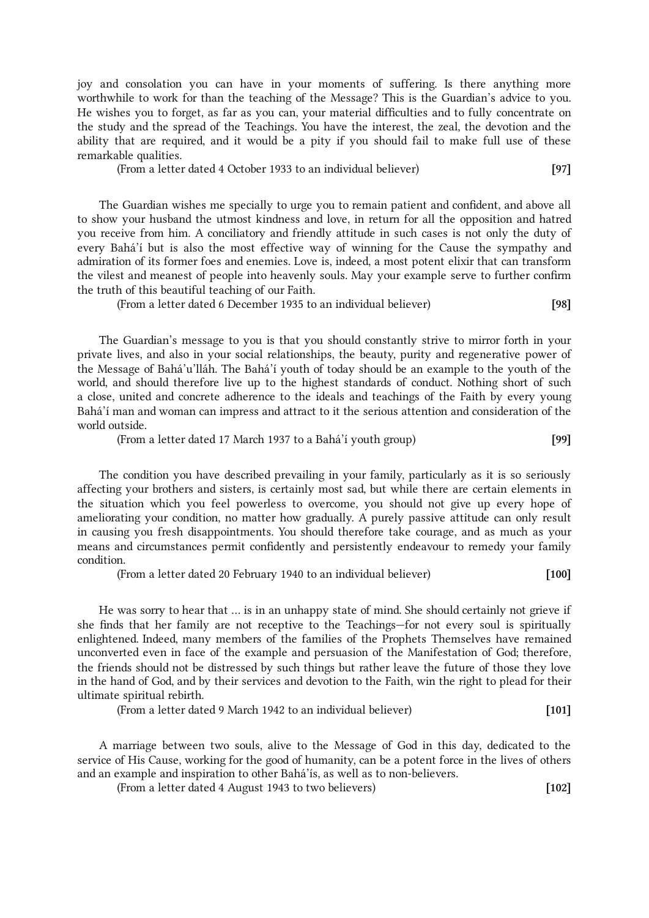joy and consolation you can have in your moments of suffering. Is there anything more worthwhile to work for than the teaching of the Message? This is the Guardian's advice to you. He wishes you to forget, as far as you can, your material difficulties and to fully concentrate on the study and the spread of the Teachings. You have the interest, the zeal, the devotion and the ability that are required, and it would be a pity if you should fail to make full use of these remarkable qualities.

(From a letter dated 4 October 1933 to an individual believer) [97]

The Guardian wishes me specially to urge you to remain patient and confident, and above all to show your husband the utmost kindness and love, in return for all the opposition and hatred you receive from him. A conciliatory and friendly attitude in such cases is not only the duty of every Bahá'í but is also the most effective way of winning for the Cause the sympathy and admiration of its former foes and enemies. Love is, indeed, a most potent elixir that can transform the vilest and meanest of people into heavenly souls. May your example serve to further confirm the truth of this beautiful teaching of our Faith.

(From a letter dated 6 December 1935 to an individual believer) [98]

The Guardian's message to you is that you should constantly strive to mirror forth in your private lives, and also in your social relationships, the beauty, purity and regenerative power of the Message of Bahá'u'lláh. The Bahá'í youth of today should be an example to the youth of the world, and should therefore live up to the highest standards of conduct. Nothing short of such a close, united and concrete adherence to the ideals and teachings of the Faith by every young Bahá'í man and woman can impress and attract to it the serious attention and consideration of the world outside.

(From a letter dated 17 March 1937 to a Bahá'í youth group) [99]

The condition you have described prevailing in your family, particularly as it is so seriously affecting your brothers and sisters, is certainly most sad, but while there are certain elements in the situation which you feel powerless to overcome, you should not give up every hope of ameliorating your condition, no matter how gradually. A purely passive attitude can only result in causing you fresh disappointments. You should therefore take courage, and as much as your means and circumstances permit confidently and persistently endeavour to remedy your family condition.

(From a letter dated 20 February 1940 to an individual believer) [100]

He was sorry to hear that … is in an unhappy state of mind. She should certainly not grieve if she finds that her family are not receptive to the Teachings—for not every soul is spiritually enlightened. Indeed, many members of the families of the Prophets Themselves have remained unconverted even in face of the example and persuasion of the Manifestation of God; therefore, the friends should not be distressed by such things but rather leave the future of those they love in the hand of God, and by their services and devotion to the Faith, win the right to plead for their ultimate spiritual rebirth.

(From a letter dated 9 March 1942 to an individual believer) [101]

A marriage between two souls, alive to the Message of God in this day, dedicated to the service of His Cause, working for the good of humanity, can be a potent force in the lives of others and an example and inspiration to other Bahá'ís, as well as to non-believers.

(From a letter dated 4 August 1943 to two believers) [102]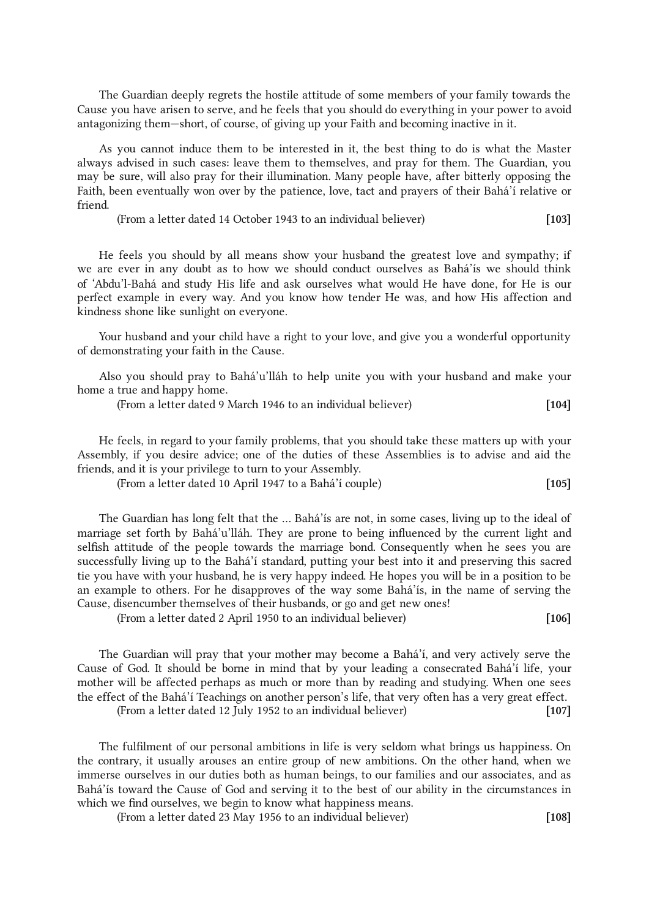The Guardian deeply regrets the hostile attitude of some members of your family towards the Cause you have arisen to serve, and he feels that you should do everything in your power to avoid antagonizing them—short, of course, of giving up your Faith and becoming inactive in it.

As you cannot induce them to be interested in it, the best thing to do is what the Master always advised in such cases: leave them to themselves, and pray for them. The Guardian, you may be sure, will also pray for their illumination. Many people have, after bitterly opposing the Faith, been eventually won over by the patience, love, tact and prayers of their Bahá'í relative or friend.

(From a letter dated 14 October 1943 to an individual believer) [103]

He feels you should by all means show your husband the greatest love and sympathy; if we are ever in any doubt as to how we should conduct ourselves as Bahá'ís we should think of 'Abdu'l-Bahá and study His life and ask ourselves what would He have done, for He is our perfect example in every way. And you know how tender He was, and how His affection and kindness shone like sunlight on everyone.

Your husband and your child have a right to your love, and give you a wonderful opportunity of demonstrating your faith in the Cause.

Also you should pray to Bahá'u'lláh to help unite you with your husband and make your home a true and happy home.

(From a letter dated 9 March 1946 to an individual believer) [104]

He feels, in regard to your family problems, that you should take these matters up with your Assembly, if you desire advice; one of the duties of these Assemblies is to advise and aid the friends, and it is your privilege to turn to your Assembly.

(From a letter dated 10 April 1947 to a Bahá'í couple) [105]

The Guardian has long felt that the … Bahá'ís are not, in some cases, living up to the ideal of marriage set forth by Bahá'u'lláh. They are prone to being influenced by the current light and selfish attitude of the people towards the marriage bond. Consequently when he sees you are successfully living up to the Bahá'í standard, putting your best into it and preserving this sacred tie you have with your husband, he is very happy indeed. He hopes you will be in a position to be an example to others. For he disapproves of the way some Bahá'ís, in the name of serving the Cause, disencumber themselves of their husbands, or go and get new ones!

(From a letter dated 2 April 1950 to an individual believer) [106]

The Guardian will pray that your mother may become a Bahá'í, and very actively serve the Cause of God. It should be borne in mind that by your leading a consecrated Bahá'í life, your mother will be affected perhaps as much or more than by reading and studying. When one sees the effect of the Bahá'í Teachings on another person's life, that very often has a very great effect.

(From a letter dated 12 July 1952 to an individual believer) [107]

The fulfilment of our personal ambitions in life is very seldom what brings us happiness. On the contrary, it usually arouses an entire group of new ambitions. On the other hand, when we immerse ourselves in our duties both as human beings, to our families and our associates, and as Bahá'ís toward the Cause of God and serving it to the best of our ability in the circumstances in which we find ourselves, we begin to know what happiness means.

(From a letter dated 23 May 1956 to an individual believer) [108]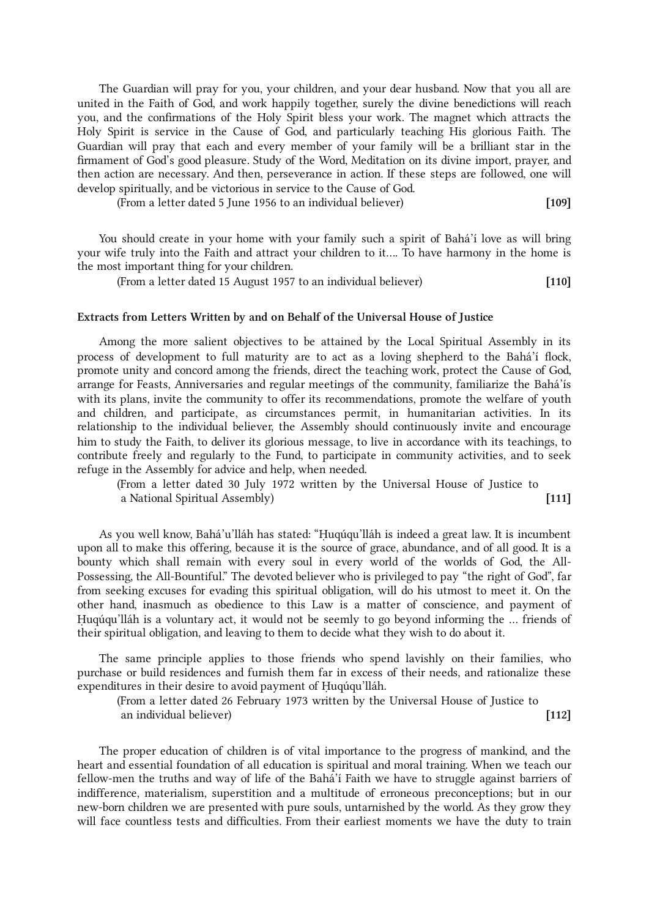The Guardian will pray for you, your children, and your dear husband. Now that you all are united in the Faith of God, and work happily together, surely the divine benedictions will reach you, and the confirmations of the Holy Spirit bless your work. The magnet which attracts the Holy Spirit is service in the Cause of God, and particularly teaching His glorious Faith. The Guardian will pray that each and every member of your family will be a brilliant star in the firmament of God's good pleasure. Study of the Word, Meditation on its divine import, prayer, and then action are necessary. And then, perseverance in action. If these steps are followed, one will develop spiritually, and be victorious in service to the Cause of God.

(From a letter dated 5 June 1956 to an individual believer) [109]

You should create in your home with your family such a spirit of Bahá'í love as will bring your wife truly into the Faith and attract your children to it…. To have harmony in the home is the most important thing for your children.

(From a letter dated 15 August 1957 to an individual believer) [110]

## Extracts from Letters Written by and on Behalf of the Universal House of Justice

Among the more salient objectives to be attained by the Local Spiritual Assembly in its process of development to full maturity are to act as a loving shepherd to the Bahá'í flock, promote unity and concord among the friends, direct the teaching work, protect the Cause of God, arrange for Feasts, Anniversaries and regular meetings of the community, familiarize the Bahá'ís with its plans, invite the community to offer its recommendations, promote the welfare of youth and children, and participate, as circumstances permit, in humanitarian activities. In its relationship to the individual believer, the Assembly should continuously invite and encourage him to study the Faith, to deliver its glorious message, to live in accordance with its teachings, to contribute freely and regularly to the Fund, to participate in community activities, and to seek refuge in the Assembly for advice and help, when needed.

(From a letter dated 30 July 1972 written by the Universal House of Justice to a National Spiritual Assembly) [111]

As you well know, Bahá'u'lláh has stated: "Ḥuqúqu'lláh is indeed a great law. It is incumbent upon all to make this offering, because it is the source of grace, abundance, and of all good. It is a bounty which shall remain with every soul in every world of the worlds of God, the All-Possessing, the All-Bountiful." The devoted believer who is privileged to pay "the right of God", far from seeking excuses for evading this spiritual obligation, will do his utmost to meet it. On the other hand, inasmuch as obedience to this Law is a matter of conscience, and payment of Huqúqu'lláh is a voluntary act, it would not be seemly to go beyond informing the ... friends of their spiritual obligation, and leaving to them to decide what they wish to do about it.

The same principle applies to those friends who spend lavishly on their families, who purchase or build residences and furnish them far in excess of their needs, and rationalize these expenditures in their desire to avoid payment of Ḥuqúqu'lláh.

(From a letter dated 26 February 1973 written by the Universal House of Justice to an individual believer) [112]

The proper education of children is of vital importance to the progress of mankind, and the heart and essential foundation of all education is spiritual and moral training. When we teach our fellow-men the truths and way of life of the Bahá'í Faith we have to struggle against barriers of indifference, materialism, superstition and a multitude of erroneous preconceptions; but in our new-born children we are presented with pure souls, untarnished by the world. As they grow they will face countless tests and difficulties. From their earliest moments we have the duty to train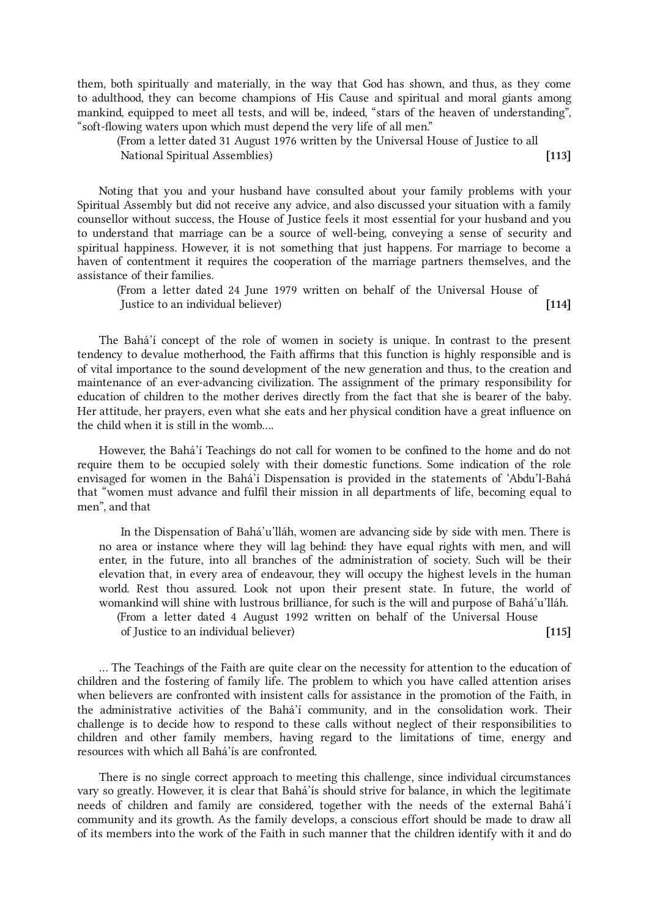them, both spiritually and materially, in the way that God has shown, and thus, as they come to adulthood, they can become champions of His Cause and spiritual and moral giants among mankind, equipped to meet all tests, and will be, indeed, "stars of the heaven of understanding", "soft-flowing waters upon which must depend the very life of all men."

(From a letter dated 31 August 1976 written by the Universal House of Justice to all National Spiritual Assemblies) [113]

Noting that you and your husband have consulted about your family problems with your Spiritual Assembly but did not receive any advice, and also discussed your situation with a family counsellor without success, the House of Justice feels it most essential for your husband and you to understand that marriage can be a source of well-being, conveying a sense of security and spiritual happiness. However, it is not something that just happens. For marriage to become a haven of contentment it requires the cooperation of the marriage partners themselves, and the assistance of their families.

(From a letter dated 24 June 1979 written on behalf of the Universal House of Justice to an individual believer) [114]

The Bahá'í concept of the role of women in society is unique. In contrast to the present tendency to devalue motherhood, the Faith affirms that this function is highly responsible and is of vital importance to the sound development of the new generation and thus, to the creation and maintenance of an ever-advancing civilization. The assignment of the primary responsibility for education of children to the mother derives directly from the fact that she is bearer of the baby. Her attitude, her prayers, even what she eats and her physical condition have a great influence on the child when it is still in the womb….

However, the Bahá'í Teachings do not call for women to be confined to the home and do not require them to be occupied solely with their domestic functions. Some indication of the role envisaged for women in the Bahá'í Dispensation is provided in the statements of 'Abdu'l-Bahá that "women must advance and fulfil their mission in all departments of life, becoming equal to men", and that

In the Dispensation of Bahá'u'lláh, women are advancing side by side with men. There is no area or instance where they will lag behind: they have equal rights with men, and will enter, in the future, into all branches of the administration of society. Such will be their elevation that, in every area of endeavour, they will occupy the highest levels in the human world. Rest thou assured. Look not upon their present state. In future, the world of womankind will shine with lustrous brilliance, for such is the will and purpose of Bahá'u'lláh.

(From a letter dated 4 August 1992 written on behalf of the Universal House of Justice to an individual believer) [115]

… The Teachings of the Faith are quite clear on the necessity for attention to the education of children and the fostering of family life. The problem to which you have called attention arises when believers are confronted with insistent calls for assistance in the promotion of the Faith, in the administrative activities of the Bahá'í community, and in the consolidation work. Their challenge is to decide how to respond to these calls without neglect of their responsibilities to children and other family members, having regard to the limitations of time, energy and resources with which all Bahá'ís are confronted.

There is no single correct approach to meeting this challenge, since individual circumstances vary so greatly. However, it is clear that Bahá'ís should strive for balance, in which the legitimate needs of children and family are considered, together with the needs of the external Bahá'í community and its growth. As the family develops, a conscious effort should be made to draw all of its members into the work of the Faith in such manner that the children identify with it and do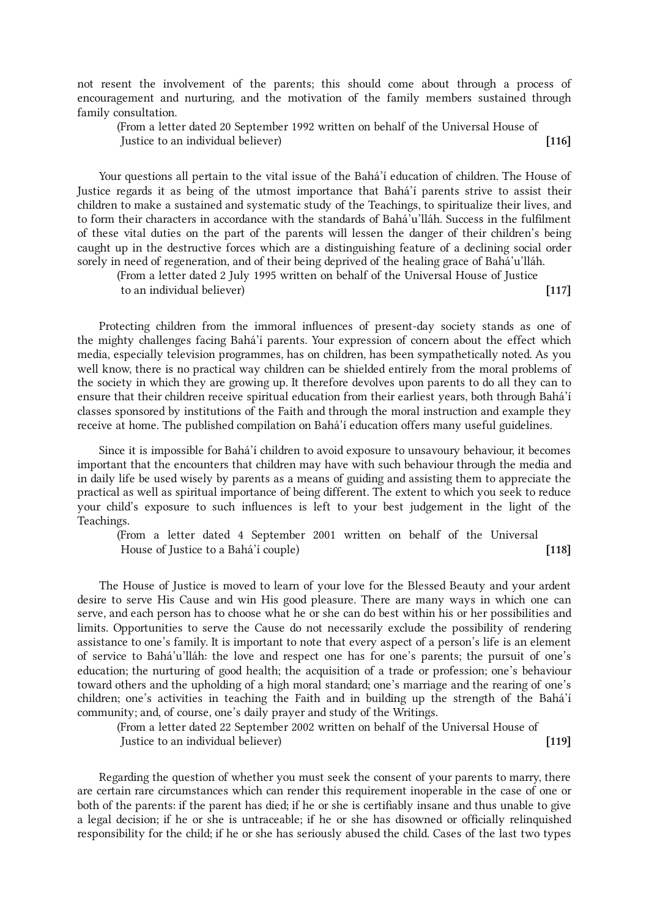not resent the involvement of the parents; this should come about through a process of encouragement and nurturing, and the motivation of the family members sustained through family consultation.

(From a letter dated 20 September 1992 written on behalf of the Universal House of Justice to an individual believer) [116]

Your questions all pertain to the vital issue of the Bahá'í education of children. The House of Justice regards it as being of the utmost importance that Bahá'í parents strive to assist their children to make a sustained and systematic study of the Teachings, to spiritualize their lives, and to form their characters in accordance with the standards of Bahá'u'lláh. Success in the fulfilment of these vital duties on the part of the parents will lessen the danger of their children's being caught up in the destructive forces which are a distinguishing feature of a declining social order sorely in need of regeneration, and of their being deprived of the healing grace of Bahá'u'lláh.

(From a letter dated 2 July 1995 written on behalf of the Universal House of Justice to an individual believer) [117]

Protecting children from the immoral influences of present-day society stands as one of the mighty challenges facing Bahá'í parents. Your expression of concern about the effect which media, especially television programmes, has on children, has been sympathetically noted. As you well know, there is no practical way children can be shielded entirely from the moral problems of the society in which they are growing up. It therefore devolves upon parents to do all they can to ensure that their children receive spiritual education from their earliest years, both through Bahá'í classes sponsored by institutions of the Faith and through the moral instruction and example they receive at home. The published compilation on Bahá'í education offers many useful guidelines.

Since it is impossible for Bahá'í children to avoid exposure to unsavoury behaviour, it becomes important that the encounters that children may have with such behaviour through the media and in daily life be used wisely by parents as a means of guiding and assisting them to appreciate the practical as well as spiritual importance of being different. The extent to which you seek to reduce your child's exposure to such influences is left to your best judgement in the light of the Teachings.

(From a letter dated 4 September 2001 written on behalf of the Universal House of Justice to a Bahá'í couple) [118]

The House of Justice is moved to learn of your love for the Blessed Beauty and your ardent desire to serve His Cause and win His good pleasure. There are many ways in which one can serve, and each person has to choose what he or she can do best within his or her possibilities and limits. Opportunities to serve the Cause do not necessarily exclude the possibility of rendering assistance to one's family. It is important to note that every aspect of a person's life is an element of service to Bahá'u'lláh: the love and respect one has for one's parents; the pursuit of one's education; the nurturing of good health; the acquisition of a trade or profession; one's behaviour toward others and the upholding of a high moral standard; one's marriage and the rearing of one's children; one's activities in teaching the Faith and in building up the strength of the Bahá'í community; and, of course, one's daily prayer and study of the Writings.

(From a letter dated 22 September 2002 written on behalf of the Universal House of Justice to an individual believer) [119]

Regarding the question of whether you must seek the consent of your parents to marry, there are certain rare circumstances which can render this requirement inoperable in the case of one or both of the parents: if the parent has died; if he or she is certifiably insane and thus unable to give a legal decision; if he or she is untraceable; if he or she has disowned or officially relinquished responsibility for the child; if he or she has seriously abused the child. Cases of the last two types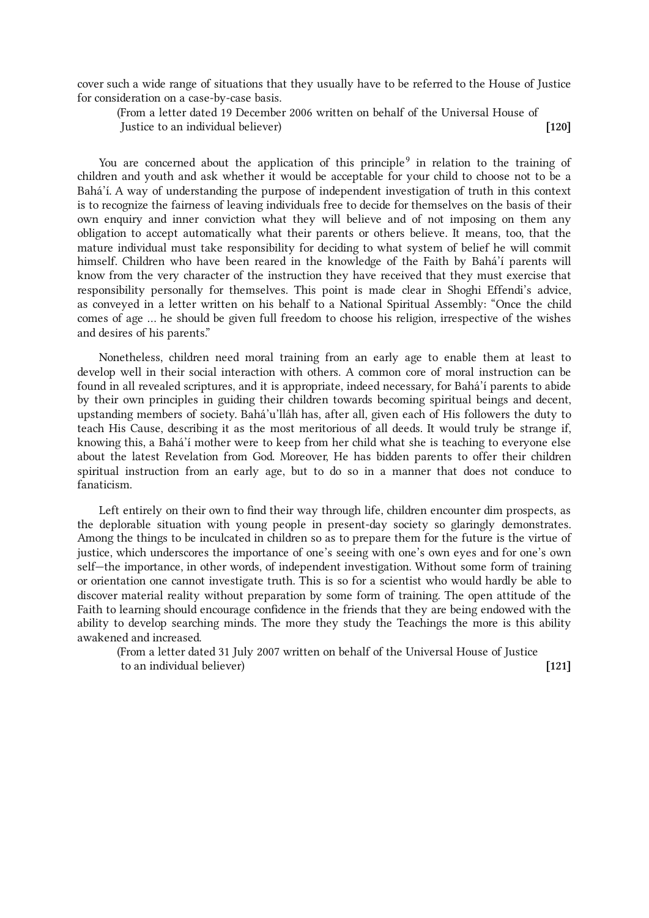cover such a wide range of situations that they usually have to be referred to the House of Justice for consideration on a case-by-case basis.

(From a letter dated 19 December 2006 written on behalf of the Universal House of Iustice to an individual believer) [120]

<span id="page-32-0"></span>You are concerned about the application of this principle<sup>[9](#page-33-8)</sup> in relation to the training of children and youth and ask whether it would be acceptable for your child to choose not to be a Bahá'í. A way of understanding the purpose of independent investigation of truth in this context is to recognize the fairness of leaving individuals free to decide for themselves on the basis of their own enquiry and inner conviction what they will believe and of not imposing on them any obligation to accept automatically what their parents or others believe. It means, too, that the mature individual must take responsibility for deciding to what system of belief he will commit himself. Children who have been reared in the knowledge of the Faith by Bahá'í parents will know from the very character of the instruction they have received that they must exercise that responsibility personally for themselves. This point is made clear in Shoghi Effendi's advice, as conveyed in a letter written on his behalf to a National Spiritual Assembly: "Once the child comes of age … he should be given full freedom to choose his religion, irrespective of the wishes and desires of his parents."

Nonetheless, children need moral training from an early age to enable them at least to develop well in their social interaction with others. A common core of moral instruction can be found in all revealed scriptures, and it is appropriate, indeed necessary, for Bahá'í parents to abide by their own principles in guiding their children towards becoming spiritual beings and decent, upstanding members of society. Bahá'u'lláh has, after all, given each of His followers the duty to teach His Cause, describing it as the most meritorious of all deeds. It would truly be strange if, knowing this, a Bahá'í mother were to keep from her child what she is teaching to everyone else about the latest Revelation from God. Moreover, He has bidden parents to offer their children spiritual instruction from an early age, but to do so in a manner that does not conduce to fanaticism.

Left entirely on their own to find their way through life, children encounter dim prospects, as the deplorable situation with young people in present-day society so glaringly demonstrates. Among the things to be inculcated in children so as to prepare them for the future is the virtue of justice, which underscores the importance of one's seeing with one's own eyes and for one's own self—the importance, in other words, of independent investigation. Without some form of training or orientation one cannot investigate truth. This is so for a scientist who would hardly be able to discover material reality without preparation by some form of training. The open attitude of the Faith to learning should encourage confidence in the friends that they are being endowed with the ability to develop searching minds. The more they study the Teachings the more is this ability awakened and increased.

(From a letter dated 31 July 2007 written on behalf of the Universal House of Justice to an individual believer) [121]